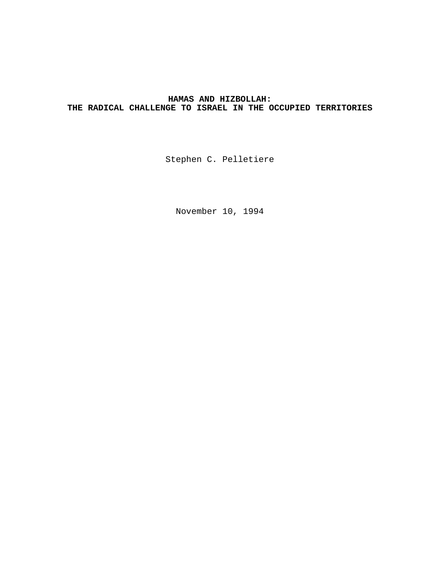# **HAMAS AND HIZBOLLAH: THE RADICAL CHALLENGE TO ISRAEL IN THE OCCUPIED TERRITORIES**

Stephen C. Pelletiere

November 10, 1994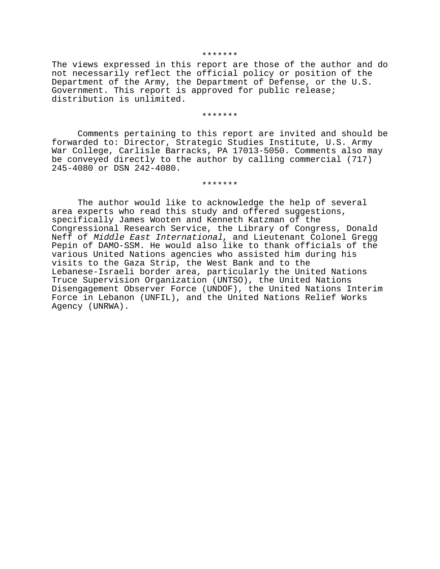#### \*\*\*\*\*\*\*

The views expressed in this report are those of the author and do not necessarily reflect the official policy or position of the Department of the Army, the Department of Defense, or the U.S. Government. This report is approved for public release; distribution is unlimited.

#### \*\*\*\*\*\*\*

Comments pertaining to this report are invited and should be forwarded to: Director, Strategic Studies Institute, U.S. Army War College, Carlisle Barracks, PA 17013-5050. Comments also may be conveyed directly to the author by calling commercial (717) 245-4080 or DSN 242-4080.

#### \*\*\*\*\*\*\*

The author would like to acknowledge the help of several area experts who read this study and offered suggestions, specifically James Wooten and Kenneth Katzman of the Congressional Research Service, the Library of Congress, Donald Neff of Middle East International, and Lieutenant Colonel Gregg Pepin of DAMO-SSM. He would also like to thank officials of the various United Nations agencies who assisted him during his visits to the Gaza Strip, the West Bank and to the Lebanese-Israeli border area, particularly the United Nations Truce Supervision Organization (UNTSO), the United Nations Disengagement Observer Force (UNDOF), the United Nations Interim Force in Lebanon (UNFIL), and the United Nations Relief Works Agency (UNRWA).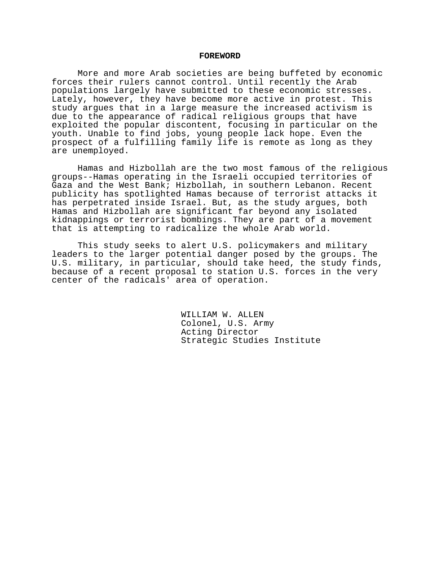### **FOREWORD**

More and more Arab societies are being buffeted by economic forces their rulers cannot control. Until recently the Arab populations largely have submitted to these economic stresses. Lately, however, they have become more active in protest. This study argues that in a large measure the increased activism is due to the appearance of radical religious groups that have exploited the popular discontent, focusing in particular on the youth. Unable to find jobs, young people lack hope. Even the prospect of a fulfilling family life is remote as long as they are unemployed.

Hamas and Hizbollah are the two most famous of the religious groups--Hamas operating in the Israeli occupied territories of Gaza and the West Bank; Hizbollah, in southern Lebanon. Recent publicity has spotlighted Hamas because of terrorist attacks it has perpetrated inside Israel. But, as the study argues, both Hamas and Hizbollah are significant far beyond any isolated kidnappings or terrorist bombings. They are part of a movement that is attempting to radicalize the whole Arab world.

This study seeks to alert U.S. policymakers and military leaders to the larger potential danger posed by the groups. The U.S. military, in particular, should take heed, the study finds, because of a recent proposal to station U.S. forces in the very center of the radicals' area of operation.

> WILLIAM W. ALLEN Colonel, U.S. Army Acting Director Strategic Studies Institute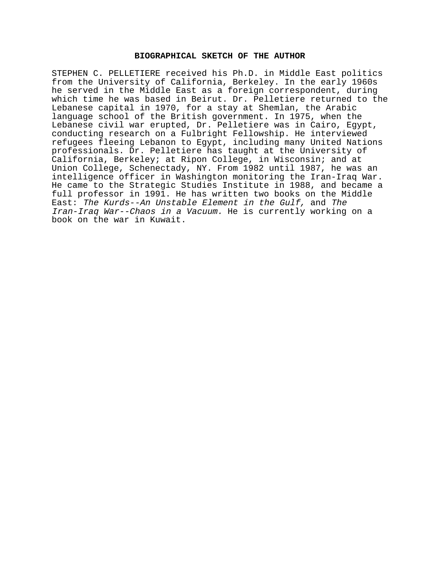# **BIOGRAPHICAL SKETCH OF THE AUTHOR**

STEPHEN C. PELLETIERE received his Ph.D. in Middle East politics from the University of California, Berkeley. In the early 1960s he served in the Middle East as a foreign correspondent, during which time he was based in Beirut. Dr. Pelletiere returned to the Lebanese capital in 1970, for a stay at Shemlan, the Arabic language school of the British government. In 1975, when the Lebanese civil war erupted, Dr. Pelletiere was in Cairo, Egypt, conducting research on a Fulbright Fellowship. He interviewed refugees fleeing Lebanon to Egypt, including many United Nations professionals. Dr. Pelletiere has taught at the University of California, Berkeley; at Ripon College, in Wisconsin; and at Union College, Schenectady, NY. From 1982 until 1987, he was an intelligence officer in Washington monitoring the Iran-Iraq War. He came to the Strategic Studies Institute in 1988, and became a full professor in 1991. He has written two books on the Middle East: The Kurds--An Unstable Element in the Gulf, and The Iran-Iraq War--Chaos in a Vacuum. He is currently working on a book on the war in Kuwait.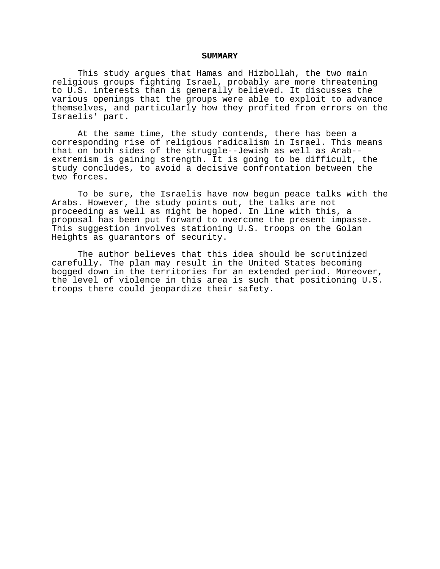### **SUMMARY**

This study argues that Hamas and Hizbollah, the two main religious groups fighting Israel, probably are more threatening to U.S. interests than is generally believed. It discusses the various openings that the groups were able to exploit to advance themselves, and particularly how they profited from errors on the Israelis' part.

At the same time, the study contends, there has been a corresponding rise of religious radicalism in Israel. This means that on both sides of the struggle--Jewish as well as Arab- extremism is gaining strength. It is going to be difficult, the study concludes, to avoid a decisive confrontation between the two forces.

To be sure, the Israelis have now begun peace talks with the Arabs. However, the study points out, the talks are not proceeding as well as might be hoped. In line with this, a proposal has been put forward to overcome the present impasse. This suggestion involves stationing U.S. troops on the Golan Heights as guarantors of security.

The author believes that this idea should be scrutinized carefully. The plan may result in the United States becoming bogged down in the territories for an extended period. Moreover, the level of violence in this area is such that positioning U.S. troops there could jeopardize their safety.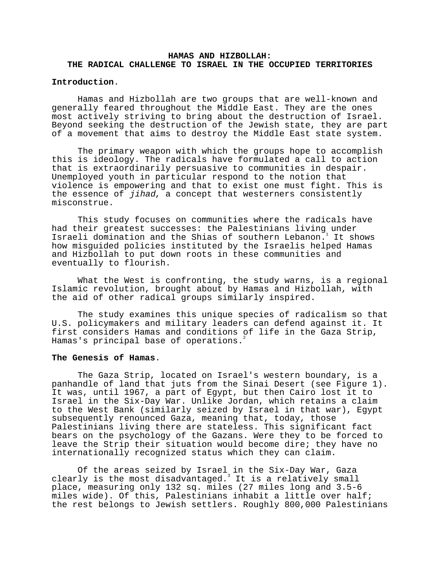# **HAMAS AND HIZBOLLAH: THE RADICAL CHALLENGE TO ISRAEL IN THE OCCUPIED TERRITORIES**

# **Introduction**.

Hamas and Hizbollah are two groups that are well-known and generally feared throughout the Middle East. They are the ones most actively striving to bring about the destruction of Israel. Beyond seeking the destruction of the Jewish state, they are part of a movement that aims to destroy the Middle East state system.

The primary weapon with which the groups hope to accomplish this is ideology. The radicals have formulated a call to action that is extraordinarily persuasive to communities in despair. Unemployed youth in particular respond to the notion that violence is empowering and that to exist one must fight. This is the essence of jihad, a concept that westerners consistently misconstrue.

This study focuses on communities where the radicals have had their greatest successes: the Palestinians living under Israeli domination and the Shias of southern Lebanon.<sup>1</sup> It shows how misguided policies instituted by the Israelis helped Hamas and Hizbollah to put down roots in these communities and eventually to flourish.

What the West is confronting, the study warns, is a regional Islamic revolution, brought about by Hamas and Hizbollah, with the aid of other radical groups similarly inspired.

The study examines this unique species of radicalism so that U.S. policymakers and military leaders can defend against it. It first considers Hamas and conditions of life in the Gaza Strip, Hamas's principal base of operations.

### **The Genesis of Hamas**.

The Gaza Strip, located on Israel's western boundary, is a panhandle of land that juts from the Sinai Desert (see Figure 1). It was, until 1967, a part of Egypt, but then Cairo lost it to Israel in the Six-Day War. Unlike Jordan, which retains a claim to the West Bank (similarly seized by Israel in that war), Egypt subsequently renounced Gaza, meaning that, today, those Palestinians living there are stateless. This significant fact bears on the psychology of the Gazans. Were they to be forced to leave the Strip their situation would become dire; they have no internationally recognized status which they can claim.

Of the areas seized by Israel in the Six-Day War, Gaza clearly is the most disadvantaged.<sup>3</sup> It is a relatively small place, measuring only 132 sq. miles (27 miles long and 3.5-6 miles wide). Of this, Palestinians inhabit a little over half; the rest belongs to Jewish settlers. Roughly 800,000 Palestinians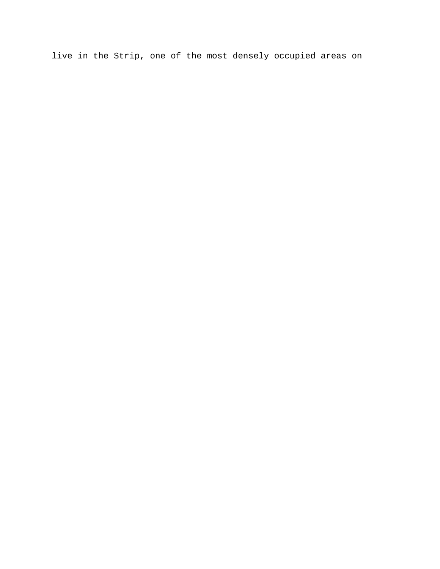live in the Strip, one of the most densely occupied areas on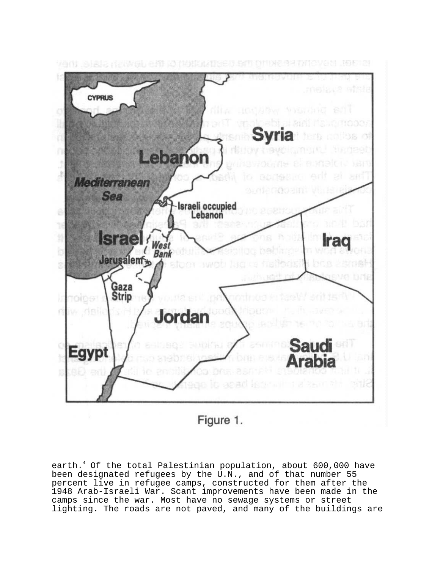

Figure 1.

earth.<sup>4</sup> Of the total Palestinian population, about 600,000 have been designated refugees by the U.N., and of that number 55 percent live in refugee camps, constructed for them after the 1948 Arab-Israeli War. Scant improvements have been made in the camps since the war. Most have no sewage systems or street lighting. The roads are not paved, and many of the buildings are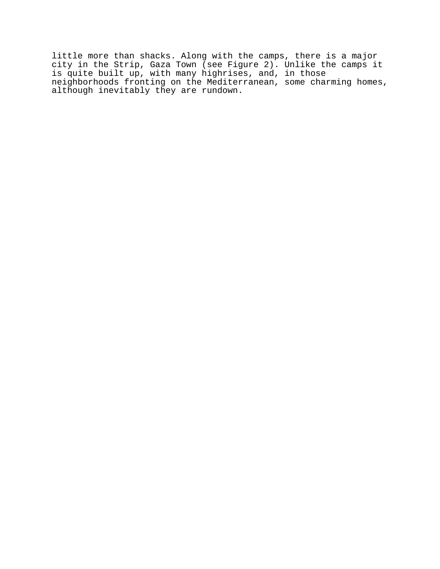little more than shacks. Along with the camps, there is a major city in the Strip, Gaza Town (see Figure 2). Unlike the camps it is quite built up, with many highrises, and, in those neighborhoods fronting on the Mediterranean, some charming homes, although inevitably they are rundown.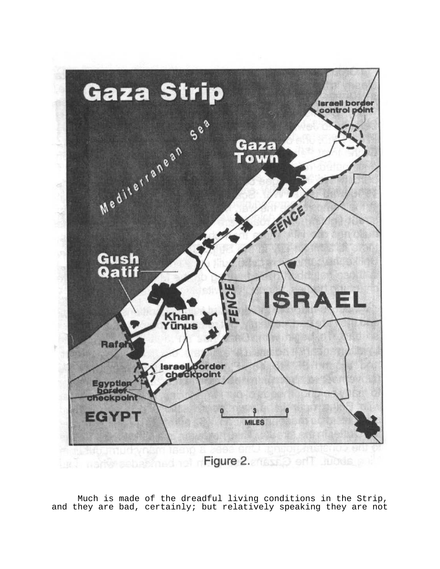

Much is made of the dreadful living conditions in the Strip, and they are bad, certainly; but relatively speaking they are not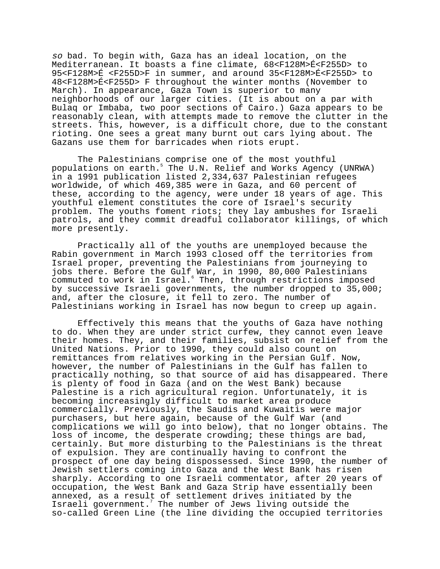so bad. To begin with, Gaza has an ideal location, on the Mediterranean. It boasts a fine climate, 68<F128M>É<F255D> to 95<F128M>É <F255D>F in summer, and around 35<F128M>É<F255D> to 48<F128M>É<F255D> F throughout the winter months (November to March). In appearance, Gaza Town is superior to many neighborhoods of our larger cities. (It is about on a par with Bulaq or Imbaba, two poor sections of Cairo.) Gaza appears to be reasonably clean, with attempts made to remove the clutter in the streets. This, however, is a difficult chore, due to the constant rioting. One sees a great many burnt out cars lying about. The Gazans use them for barricades when riots erupt.

The Palestinians comprise one of the most youthful populations on earth.<sup>5</sup> The U.N. Relief and Works Agency (UNRWA) in a 1991 publication listed 2,334,637 Palestinian refugees worldwide, of which 469,385 were in Gaza, and 60 percent of these, according to the agency, were under 18 years of age. This youthful element constitutes the core of Israel's security problem. The youths foment riots; they lay ambushes for Israeli patrols, and they commit dreadful collaborator killings, of which more presently.

Practically all of the youths are unemployed because the Rabin government in March 1993 closed off the territories from Israel proper, preventing the Palestinians from journeying to jobs there. Before the Gulf War, in 1990, 80,000 Palestinians commuted to work in Israel.<sup>6</sup> Then, through restrictions imposed by successive Israeli governments, the number dropped to 35,000; and, after the closure, it fell to zero. The number of Palestinians working in Israel has now begun to creep up again.

Effectively this means that the youths of Gaza have nothing to do. When they are under strict curfew, they cannot even leave their homes. They, and their families, subsist on relief from the United Nations. Prior to 1990, they could also count on remittances from relatives working in the Persian Gulf. Now, however, the number of Palestinians in the Gulf has fallen to practically nothing, so that source of aid has disappeared. There is plenty of food in Gaza (and on the West Bank) because Palestine is a rich agricultural region. Unfortunately, it is becoming increasingly difficult to market area produce commercially. Previously, the Saudis and Kuwaitis were major purchasers, but here again, because of the Gulf War (and complications we will go into below), that no longer obtains. The loss of income, the desperate crowding; these things are bad, certainly. But more disturbing to the Palestinians is the threat of expulsion. They are continually having to confront the prospect of one day being dispossessed. Since 1990, the number of Jewish settlers coming into Gaza and the West Bank has risen sharply. According to one Israeli commentator, after 20 years of occupation, the West Bank and Gaza Strip have essentially been annexed, as a result of settlement drives initiated by the Israeli government.<sup>7</sup> The number of Jews living outside the so-called Green Line (the line dividing the occupied territories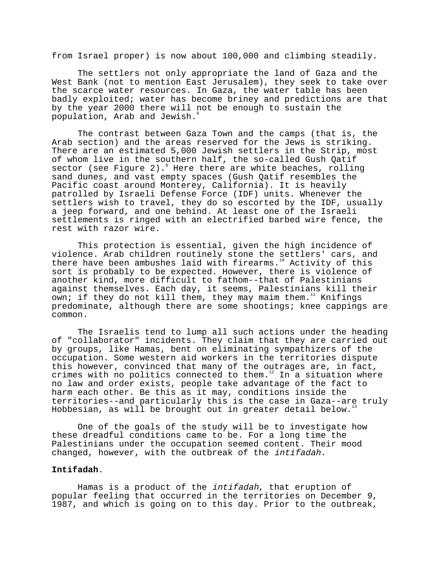from Israel proper) is now about 100,000 and climbing steadily.

The settlers not only appropriate the land of Gaza and the West Bank (not to mention East Jerusalem), they seek to take over the scarce water resources. In Gaza, the water table has been badly exploited; water has become briney and predictions are that by the year 2000 there will not be enough to sustain the population, Arab and Jewish.<sup>8</sup>

The contrast between Gaza Town and the camps (that is, the Arab section) and the areas reserved for the Jews is striking. There are an estimated 5,000 Jewish settlers in the Strip, most of whom live in the southern half, the so-called Gush Qatif sector (see Figure 2).<sup>9</sup> Here there are white beaches, rolling sand dunes, and vast empty spaces (Gush Qatif resembles the Pacific coast around Monterey, California). It is heavily patrolled by Israeli Defense Force (IDF) units. Whenever the settlers wish to travel, they do so escorted by the IDF, usually a jeep forward, and one behind. At least one of the Israeli settlements is ringed with an electrified barbed wire fence, the rest with razor wire.

This protection is essential, given the high incidence of violence. Arab children routinely stone the settlers' cars, and there have been ambushes laid with firearms.<sup>10</sup> Activity of this sort is probably to be expected. However, there is violence of another kind, more difficult to fathom--that of Palestinians against themselves. Each day, it seems, Palestinians kill their own; if they do not kill them, they may maim them.<sup>11</sup> Knifings predominate, although there are some shootings; knee cappings are common.

The Israelis tend to lump all such actions under the heading of "collaborator" incidents. They claim that they are carried out by groups, like Hamas, bent on eliminating sympathizers of the occupation. Some western aid workers in the territories dispute this however, convinced that many of the outrages are, in fact, crimes with no politics connected to them.<sup>12</sup> In a situation where no law and order exists, people take advantage of the fact to harm each other. Be this as it may, conditions inside the territories--and particularly this is the case in Gaza--are truly Hobbesian, as will be brought out in greater detail below.<sup>13</sup>

One of the goals of the study will be to investigate how these dreadful conditions came to be. For a long time the Palestinians under the occupation seemed content. Their mood changed, however, with the outbreak of the intifadah.

# **Intifadah**.

Hamas is a product of the intifadah, that eruption of popular feeling that occurred in the territories on December 9, 1987, and which is going on to this day. Prior to the outbreak,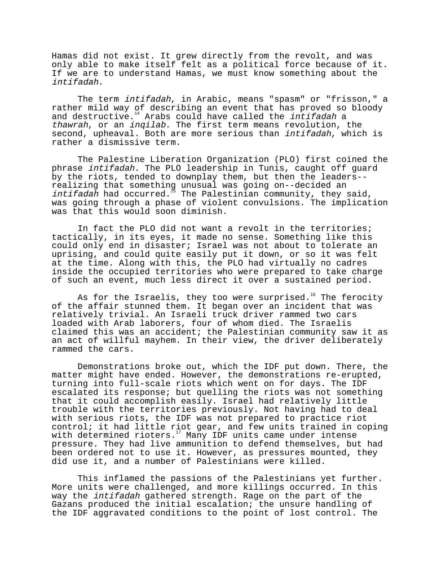Hamas did not exist. It grew directly from the revolt, and was only able to make itself felt as a political force because of it. If we are to understand Hamas, we must know something about the intifadah.

The term *intifadah*, in Arabic, means "spasm" or "frisson," a rather mild way of describing an event that has proved so bloody and destructive. $14$  Arabs could have called the intifadah a thawrah, or an inqilab. The first term means revolution, the second, upheaval. Both are more serious than intifadah, which is rather a dismissive term.

The Palestine Liberation Organization (PLO) first coined the phrase intifadah. The PLO leadership in Tunis, caught off guard by the riots, tended to downplay them, but then the leaders- realizing that something unusual was going on--decided an intifadah had occurred. $^{15}$  The Palestinian community, they said, was going through a phase of violent convulsions. The implication was that this would soon diminish.

In fact the PLO did not want a revolt in the territories; tactically, in its eyes, it made no sense. Something like this could only end in disaster; Israel was not about to tolerate an uprising, and could quite easily put it down, or so it was felt at the time. Along with this, the PLO had virtually no cadres inside the occupied territories who were prepared to take charge of such an event, much less direct it over a sustained period.

As for the Israelis, they too were surprised.<sup>16</sup> The ferocity of the affair stunned them. It began over an incident that was relatively trivial. An Israeli truck driver rammed two cars loaded with Arab laborers, four of whom died. The Israelis claimed this was an accident; the Palestinian community saw it as an act of willful mayhem. In their view, the driver deliberately rammed the cars.

Demonstrations broke out, which the IDF put down. There, the matter might have ended. However, the demonstrations re-erupted, turning into full-scale riots which went on for days. The IDF escalated its response; but quelling the riots was not something that it could accomplish easily. Israel had relatively little trouble with the territories previously. Not having had to deal with serious riots, the IDF was not prepared to practice riot control; it had little riot gear, and few units trained in coping with determined rioters.<sup>17</sup> Many IDF units came under intense pressure. They had live ammunition to defend themselves, but had been ordered not to use it. However, as pressures mounted, they did use it, and a number of Palestinians were killed.

This inflamed the passions of the Palestinians yet further. More units were challenged, and more killings occurred. In this way the *intifadah* gathered strength. Rage on the part of the Gazans produced the initial escalation; the unsure handling of the IDF aggravated conditions to the point of lost control. The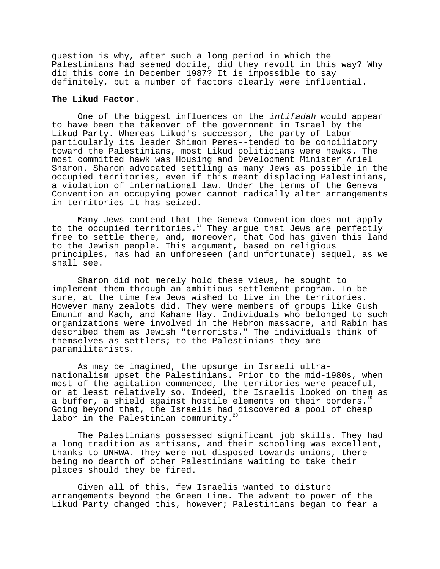question is why, after such a long period in which the Palestinians had seemed docile, did they revolt in this way? Why did this come in December 1987? It is impossible to say definitely, but a number of factors clearly were influential.

## **The Likud Factor**.

One of the biggest influences on the intifadah would appear to have been the takeover of the government in Israel by the Likud Party. Whereas Likud's successor, the party of Labor- particularly its leader Shimon Peres--tended to be conciliatory toward the Palestinians, most Likud politicians were hawks. The most committed hawk was Housing and Development Minister Ariel Sharon. Sharon advocated settling as many Jews as possible in the occupied territories, even if this meant displacing Palestinians, a violation of international law. Under the terms of the Geneva Convention an occupying power cannot radically alter arrangements in territories it has seized.

Many Jews contend that the Geneva Convention does not apply to the occupied territories.<sup>18</sup> They argue that Jews are perfectly free to settle there, and, moreover, that God has given this land to the Jewish people. This argument, based on religious principles, has had an unforeseen (and unfortunate) sequel, as we shall see.

Sharon did not merely hold these views, he sought to implement them through an ambitious settlement program. To be sure, at the time few Jews wished to live in the territories. However many zealots did. They were members of groups like Gush Emunim and Kach, and Kahane Hay. Individuals who belonged to such organizations were involved in the Hebron massacre, and Rabin has described them as Jewish "terrorists." The individuals think of themselves as settlers; to the Palestinians they are paramilitarists.

As may be imagined, the upsurge in Israeli ultranationalism upset the Palestinians. Prior to the mid-1980s, when most of the agitation commenced, the territories were peaceful, or at least relatively so. Indeed, the Israelis looked on them as a buffer, a shield against hostile elements on their borders.<sup>19</sup> Going beyond that, the Israelis had discovered a pool of cheap labor in the Palestinian community.<sup>2</sup>

The Palestinians possessed significant job skills. They had a long tradition as artisans, and their schooling was excellent, thanks to UNRWA. They were not disposed towards unions, there being no dearth of other Palestinians waiting to take their places should they be fired.

Given all of this, few Israelis wanted to disturb arrangements beyond the Green Line. The advent to power of the Likud Party changed this, however; Palestinians began to fear a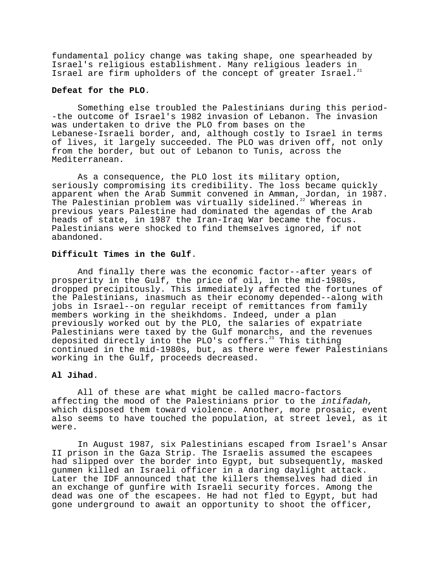fundamental policy change was taking shape, one spearheaded by Innualities points on the community of the set of the set of the set of the set of the set of the set of the s Israel are firm upholders of the concept of greater Israel.

# **Defeat for the PLO**.

Something else troubled the Palestinians during this period- -the outcome of Israel's 1982 invasion of Lebanon. The invasion was undertaken to drive the PLO from bases on the Lebanese-Israeli border, and, although costly to Israel in terms of lives, it largely succeeded. The PLO was driven off, not only from the border, but out of Lebanon to Tunis, across the Mediterranean.

As a consequence, the PLO lost its military option, seriously compromising its credibility. The loss became quickly apparent when the Arab Summit convened in Amman, Jordan, in 1987. The Palestinian problem was virtually sidelined. $^{22}$  Whereas in previous years Palestine had dominated the agendas of the Arab heads of state, in 1987 the Iran-Iraq War became the focus. Palestinians were shocked to find themselves ignored, if not abandoned.

# **Difficult Times in the Gulf**.

And finally there was the economic factor--after years of prosperity in the Gulf, the price of oil, in the mid-1980s, dropped precipitously. This immediately affected the fortunes of the Palestinians, inasmuch as their economy depended--along with jobs in Israel--on regular receipt of remittances from family members working in the sheikhdoms. Indeed, under a plan previously worked out by the PLO, the salaries of expatriate Palestinians were taxed by the Gulf monarchs, and the revenues deposited directly into the PLO's coffers.<sup>23</sup> This tithing continued in the mid-1980s, but, as there were fewer Palestinians working in the Gulf, proceeds decreased.

# **Al Jihad**.

All of these are what might be called macro-factors affecting the mood of the Palestinians prior to the intifadah, which disposed them toward violence. Another, more prosaic, event also seems to have touched the population, at street level, as it were.

In August 1987, six Palestinians escaped from Israel's Ansar II prison in the Gaza Strip. The Israelis assumed the escapees had slipped over the border into Egypt, but subsequently, masked gunmen killed an Israeli officer in a daring daylight attack. Later the IDF announced that the killers themselves had died in an exchange of gunfire with Israeli security forces. Among the dead was one of the escapees. He had not fled to Egypt, but had gone underground to await an opportunity to shoot the officer,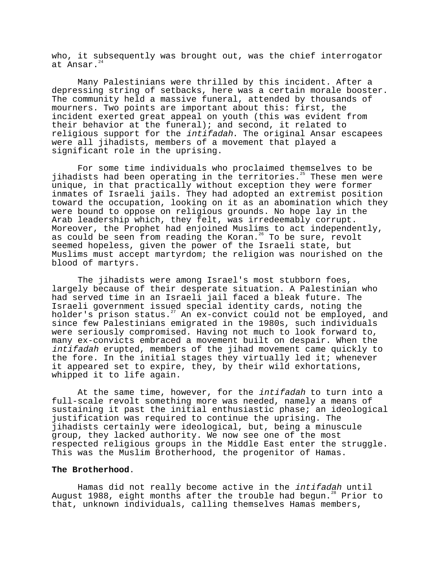who, it subsequently was brought out, was the chief interrogator at Ansar.<sup>24</sup>

Many Palestinians were thrilled by this incident. After a depressing string of setbacks, here was a certain morale booster. The community held a massive funeral, attended by thousands of mourners. Two points are important about this: first, the incident exerted great appeal on youth (this was evident from their behavior at the funeral); and second, it related to religious support for the intifadah. The original Ansar escapees were all jihadists, members of a movement that played a significant role in the uprising.

For some time individuals who proclaimed themselves to be jihadists had been operating in the territories. $25$  These men were unique, in that practically without exception they were former inmates of Israeli jails. They had adopted an extremist position toward the occupation, looking on it as an abomination which they were bound to oppose on religious grounds. No hope lay in the Arab leadership which, they felt, was irredeemably corrupt. Moreover, the Prophet had enjoined Muslims to act independently, as could be seen from reading the Koran.<sup>26</sup> To be sure, revolt seemed hopeless, given the power of the Israeli state, but Muslims must accept martyrdom; the religion was nourished on the blood of martyrs.

The jihadists were among Israel's most stubborn foes, largely because of their desperate situation. A Palestinian who had served time in an Israeli jail faced a bleak future. The Israeli government issued special identity cards, noting the holder's prison status.<sup>27</sup> An ex-convict could not be employed, and since few Palestinians emigrated in the 1980s, such individuals were seriously compromised. Having not much to look forward to, many ex-convicts embraced a movement built on despair. When the intifadah erupted, members of the jihad movement came quickly to the fore. In the initial stages they virtually led it; whenever it appeared set to expire, they, by their wild exhortations, whipped it to life again.

At the same time, however, for the *intifadah* to turn into a full-scale revolt something more was needed, namely a means of sustaining it past the initial enthusiastic phase; an ideological justification was required to continue the uprising. The jihadists certainly were ideological, but, being a minuscule group, they lacked authority. We now see one of the most respected religious groups in the Middle East enter the struggle. This was the Muslim Brotherhood, the progenitor of Hamas.

# **The Brotherhood**.

Hamas did not really become active in the intifadah until August 1988, eight months after the trouble had begun.<sup>28</sup> Prior to that, unknown individuals, calling themselves Hamas members,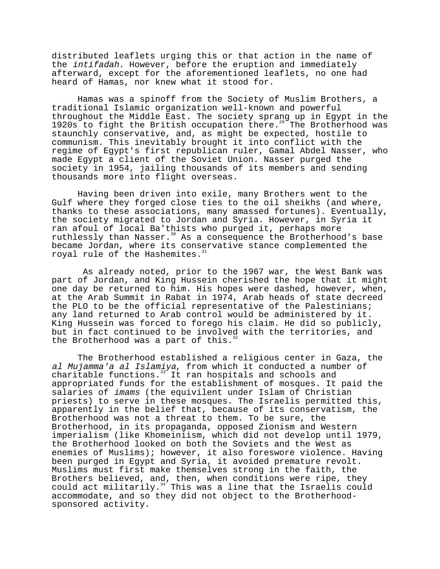distributed leaflets urging this or that action in the name of the intifadah. However, before the eruption and immediately afterward, except for the aforementioned leaflets, no one had heard of Hamas, nor knew what it stood for.

Hamas was a spinoff from the Society of Muslim Brothers, a traditional Islamic organization well-known and powerful throughout the Middle East. The society sprang up in Egypt in the 1920s to fight the British occupation there.<sup>29</sup> The Brotherhood was staunchly conservative, and, as might be expected, hostile to communism. This inevitably brought it into conflict with the regime of Egypt's first republican ruler, Gamal Abdel Nasser, who made Egypt a client of the Soviet Union. Nasser purged the society in 1954, jailing thousands of its members and sending thousands more into flight overseas.

Having been driven into exile, many Brothers went to the Gulf where they forged close ties to the oil sheikhs (and where, thanks to these associations, many amassed fortunes). Eventually, the society migrated to Jordan and Syria. However, in Syria it ran afoul of local Ba'thists who purged it, perhaps more ruthlessly than Nasser.<sup>30</sup> As a consequence the Brotherhood's base became Jordan, where its conservative stance complemented the royal rule of the Hashemites.<sup>31</sup>

 As already noted, prior to the 1967 war, the West Bank was part of Jordan, and King Hussein cherished the hope that it might one day be returned to him. His hopes were dashed, however, when, at the Arab Summit in Rabat in 1974, Arab heads of state decreed the PLO to be the official representative of the Palestinians; any land returned to Arab control would be administered by it. King Hussein was forced to forego his claim. He did so publicly, but in fact continued to be involved with the territories, and the Brotherhood was a part of this.<sup>3</sup>

The Brotherhood established a religious center in Gaza, the al Mujamma'a al Islamiya, from which it conducted a number of charitable functions.<sup>33</sup> It ran hospitals and schools and appropriated funds for the establishment of mosques. It paid the salaries of imams (the equivilent under Islam of Christian priests) to serve in these mosques. The Israelis permitted this, apparently in the belief that, because of its conservatism, the Brotherhood was not a threat to them. To be sure, the Brotherhood, in its propaganda, opposed Zionism and Western imperialism (like Khomeiniism, which did not develop until 1979, the Brotherhood looked on both the Soviets and the West as enemies of Muslims); however, it also foreswore violence. Having been purged in Egypt and Syria, it avoided premature revolt. Muslims must first make themselves strong in the faith, the Brothers believed, and, then, when conditions were ripe, they could act militarily.<sup>34</sup> This was a line that the Israelis could accommodate, and so they did not object to the Brotherhoodsponsored activity.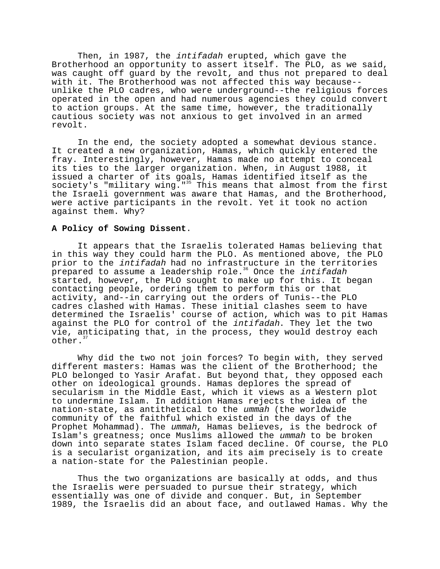Then, in 1987, the intifadah erupted, which gave the Brotherhood an opportunity to assert itself. The PLO, as we said, was caught off guard by the revolt, and thus not prepared to deal with it. The Brotherhood was not affected this way because- unlike the PLO cadres, who were underground--the religious forces operated in the open and had numerous agencies they could convert to action groups. At the same time, however, the traditionally cautious society was not anxious to get involved in an armed revolt.

In the end, the society adopted a somewhat devious stance. It created a new organization, Hamas, which quickly entered the fray. Interestingly, however, Hamas made no attempt to conceal its ties to the larger organization. When, in August 1988, it issued a charter of its goals, Hamas identified itself as the society's "military wing."<sup>35</sup> This means that almost from the first the Israeli government was aware that Hamas, and the Brotherhood, were active participants in the revolt. Yet it took no action against them. Why?

# **A Policy of Sowing Dissent**.

It appears that the Israelis tolerated Hamas believing that in this way they could harm the PLO. As mentioned above, the PLO prior to the intifadah had no infrastructure in the territories prepared to assume a leadership role.<sup>36</sup> Once the *intifadah* started, however, the PLO sought to make up for this. It began contacting people, ordering them to perform this or that activity, and--in carrying out the orders of Tunis--the PLO cadres clashed with Hamas. These initial clashes seem to have determined the Israelis' course of action, which was to pit Hamas against the PLO for control of the intifadah. They let the two vie, anticipating that, in the process, they would destroy each other.<sup>3</sup>

Why did the two not join forces? To begin with, they served different masters: Hamas was the client of the Brotherhood; the PLO belonged to Yasir Arafat. But beyond that, they opposed each other on ideological grounds. Hamas deplores the spread of secularism in the Middle East, which it views as a Western plot to undermine Islam. In addition Hamas rejects the idea of the nation-state, as antithetical to the ummah (the worldwide community of the faithful which existed in the days of the Prophet Mohammad). The ummah, Hamas believes, is the bedrock of Islam's greatness; once Muslims allowed the ummah to be broken down into separate states Islam faced decline. Of course, the PLO is a secularist organization, and its aim precisely is to create a nation-state for the Palestinian people.

Thus the two organizations are basically at odds, and thus the Israelis were persuaded to pursue their strategy, which essentially was one of divide and conquer. But, in September 1989, the Israelis did an about face, and outlawed Hamas. Why the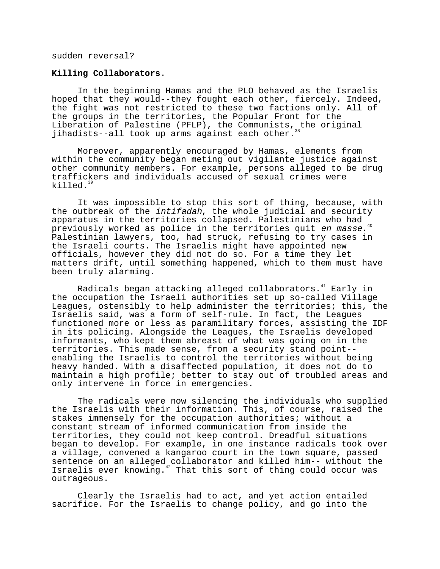sudden reversal?

### **Killing Collaborators**.

In the beginning Hamas and the PLO behaved as the Israelis hoped that they would--they fought each other, fiercely. Indeed, the fight was not restricted to these two factions only. All of the groups in the territories, the Popular Front for the Liberation of Palestine (PFLP), the Communists, the original jihadists--all took up arms against each other.

Moreover, apparently encouraged by Hamas, elements from within the community began meting out vigilante justice against other community members. For example, persons alleged to be drug traffickers and individuals accused of sexual crimes were killed. $39$ 

It was impossible to stop this sort of thing, because, with the outbreak of the intifadah, the whole judicial and security apparatus in the territories collapsed. Palestinians who had previously worked as police in the territories quit en masse.<sup>40</sup> Palestinian lawyers, too, had struck, refusing to try cases in the Israeli courts. The Israelis might have appointed new officials, however they did not do so. For a time they let matters drift, until something happened, which to them must have been truly alarming.

Radicals began attacking alleged collaborators.<sup>41</sup> Early in the occupation the Israeli authorities set up so-called Village Leagues, ostensibly to help administer the territories; this, the Israelis said, was a form of self-rule. In fact, the Leagues functioned more or less as paramilitary forces, assisting the IDF in its policing. Alongside the Leagues, the Israelis developed informants, who kept them abreast of what was going on in the territories. This made sense, from a security stand point- enabling the Israelis to control the territories without being heavy handed. With a disaffected population, it does not do to maintain a high profile; better to stay out of troubled areas and only intervene in force in emergencies.

The radicals were now silencing the individuals who supplied the Israelis with their information. This, of course, raised the stakes immensely for the occupation authorities; without a constant stream of informed communication from inside the territories, they could not keep control. Dreadful situations began to develop. For example, in one instance radicals took over a village, convened a kangaroo court in the town square, passed sentence on an alleged collaborator and killed him-- without the Israelis ever knowing.<sup>42</sup> That this sort of thing could occur was outrageous.

Clearly the Israelis had to act, and yet action entailed sacrifice. For the Israelis to change policy, and go into the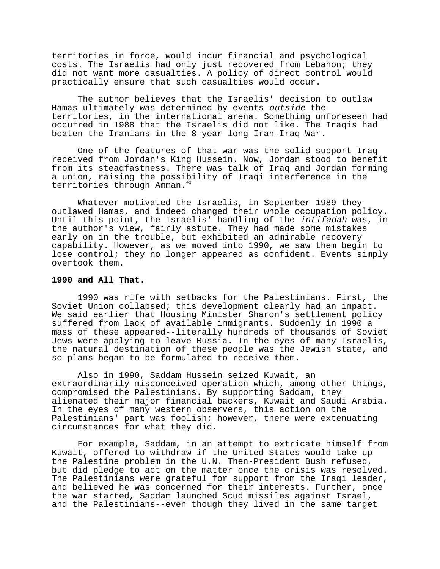territories in force, would incur financial and psychological costs. The Israelis had only just recovered from Lebanon; they did not want more casualties. A policy of direct control would practically ensure that such casualties would occur.

The author believes that the Israelis' decision to outlaw Hamas ultimately was determined by events outside the territories, in the international arena. Something unforeseen had occurred in 1988 that the Israelis did not like. The Iraqis had beaten the Iranians in the 8-year long Iran-Iraq War.

One of the features of that war was the solid support Iraq received from Jordan's King Hussein. Now, Jordan stood to benefit from its steadfastness. There was talk of Iraq and Jordan forming a union, raising the possibility of Iraqi interference in the territories through Amman.<sup>43</sup>

Whatever motivated the Israelis, in September 1989 they outlawed Hamas, and indeed changed their whole occupation policy. Until this point, the Israelis' handling of the intifadah was, in the author's view, fairly astute. They had made some mistakes early on in the trouble, but exhibited an admirable recovery capability. However, as we moved into 1990, we saw them begin to lose control; they no longer appeared as confident. Events simply overtook them.

# **1990 and All That**.

1990 was rife with setbacks for the Palestinians. First, the Soviet Union collapsed; this development clearly had an impact. We said earlier that Housing Minister Sharon's settlement policy suffered from lack of available immigrants. Suddenly in 1990 a mass of these appeared--literally hundreds of thousands of Soviet Jews were applying to leave Russia. In the eyes of many Israelis, the natural destination of these people was the Jewish state, and so plans began to be formulated to receive them.

Also in 1990, Saddam Hussein seized Kuwait, an extraordinarily misconceived operation which, among other things, compromised the Palestinians. By supporting Saddam, they alienated their major financial backers, Kuwait and Saudi Arabia. In the eyes of many western observers, this action on the Palestinians' part was foolish; however, there were extenuating circumstances for what they did.

For example, Saddam, in an attempt to extricate himself from Kuwait, offered to withdraw if the United States would take up the Palestine problem in the U.N. Then-President Bush refused, but did pledge to act on the matter once the crisis was resolved. The Palestinians were grateful for support from the Iraqi leader, and believed he was concerned for their interests. Further, once the war started, Saddam launched Scud missiles against Israel, and the Palestinians--even though they lived in the same target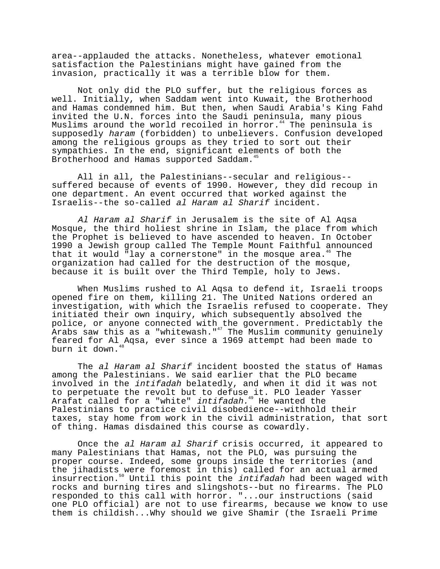area--applauded the attacks. Nonetheless, whatever emotional satisfaction the Palestinians might have gained from the invasion, practically it was a terrible blow for them.

Not only did the PLO suffer, but the religious forces as well. Initially, when Saddam went into Kuwait, the Brotherhood and Hamas condemned him. But then, when Saudi Arabia's King Fahd invited the U.N. forces into the Saudi peninsula, many pious Muslims around the world recoiled in horror.<sup>44</sup> The peninsula is supposedly haram (forbidden) to unbelievers. Confusion developed among the religious groups as they tried to sort out their sympathies. In the end, significant elements of both the Brotherhood and Hamas supported Saddam.<sup>45</sup>

All in all, the Palestinians--secular and religious- suffered because of events of 1990. However, they did recoup in one department. An event occurred that worked against the Israelis--the so-called al Haram al Sharif incident.

Al Haram al Sharif in Jerusalem is the site of Al Aqsa Mosque, the third holiest shrine in Islam, the place from which the Prophet is believed to have ascended to heaven. In October 1990 a Jewish group called The Temple Mount Faithful announced that it would "lay a cornerstone" in the mosque area.<sup>46</sup> The organization had called for the destruction of the mosque, because it is built over the Third Temple, holy to Jews.

When Muslims rushed to Al Aqsa to defend it, Israeli troops opened fire on them, killing 21. The United Nations ordered an investigation, with which the Israelis refused to cooperate. They initiated their own inquiry, which subsequently absolved the police, or anyone connected with the government. Predictably the Arabs saw this as a "whitewash." $^{47}$  The Muslim community genuinely feared for Al Aqsa, ever since a 1969 attempt had been made to burn it down.<sup>48</sup>

The al Haram al Sharif incident boosted the status of Hamas among the Palestinians. We said earlier that the PLO became involved in the intifadah belatedly, and when it did it was not to perpetuate the revolt but to defuse it. PLO leader Yasser Arafat called for a "white" *intifadah.*<sup>49</sup> He wanted the Palestinians to practice civil disobedience--withhold their taxes, stay home from work in the civil administration, that sort of thing. Hamas disdained this course as cowardly.

Once the al Haram al Sharif crisis occurred, it appeared to many Palestinians that Hamas, not the PLO, was pursuing the proper course. Indeed, some groups inside the territories (and the jihadists were foremost in this) called for an actual armed insurrection.50 Until this point the intifadah had been waged with rocks and burning tires and slingshots--but no firearms. The PLO responded to this call with horror. "...our instructions (said one PLO official) are not to use firearms, because we know to use them is childish...Why should we give Shamir (the Israeli Prime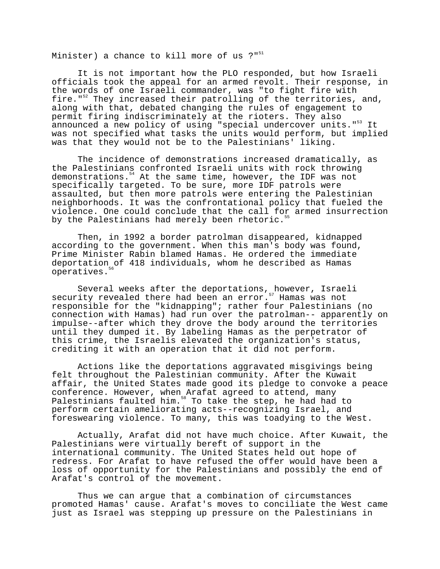Minister) a chance to kill more of us  $?''$ <sup>51</sup>

It is not important how the PLO responded, but how Israeli officials took the appeal for an armed revolt. Their response, in the words of one Israeli commander, was "to fight fire with fire."<sup>52</sup> They increased their patrolling of the territories, and, along with that, debated changing the rules of engagement to permit firing indiscriminately at the rioters. They also announced a new policy of using "special undercover units."<sup>53</sup> It was not specified what tasks the units would perform, but implied was that they would not be to the Palestinians' liking.

The incidence of demonstrations increased dramatically, as the Palestinians confronted Israeli units with rock throwing demonstrations.<sup>54</sup> At the same time, however, the IDF was not specifically targeted. To be sure, more IDF patrols were assaulted, but then more patrols were entering the Palestinian neighborhoods. It was the confrontational policy that fueled the violence. One could conclude that the call for armed insurrection by the Palestinians had merely been rhetoric.<sup>5</sup>

Then, in 1992 a border patrolman disappeared, kidnapped according to the government. When this man's body was found, Prime Minister Rabin blamed Hamas. He ordered the immediate deportation of 418 individuals, whom he described as Hamas operatives.<sup>56</sup>

Several weeks after the deportations, however, Israeli security revealed there had been an error.<sup>57</sup> Hamas was not responsible for the "kidnapping"; rather four Palestinians (no connection with Hamas) had run over the patrolman-- apparently on impulse--after which they drove the body around the territories until they dumped it. By labeling Hamas as the perpetrator of this crime, the Israelis elevated the organization's status, crediting it with an operation that it did not perform.

Actions like the deportations aggravated misgivings being felt throughout the Palestinian community. After the Kuwait affair, the United States made good its pledge to convoke a peace conference. However, when Arafat agreed to attend, many Palestinians faulted him.<sup>58</sup> To take the step, he had had to perform certain ameliorating acts--recognizing Israel, and foreswearing violence. To many, this was toadying to the West.

Actually, Arafat did not have much choice. After Kuwait, the Palestinians were virtually bereft of support in the international community. The United States held out hope of redress. For Arafat to have refused the offer would have been a loss of opportunity for the Palestinians and possibly the end of Arafat's control of the movement.

Thus we can argue that a combination of circumstances promoted Hamas' cause. Arafat's moves to conciliate the West came just as Israel was stepping up pressure on the Palestinians in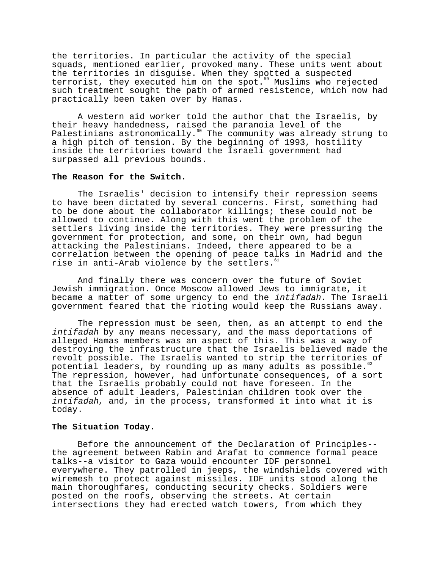the territories. In particular the activity of the special squads, mentioned earlier, provoked many. These units went about the territories in disguise. When they spotted a suspected terrorist, they executed him on the spot.59 Muslims who rejected such treatment sought the path of armed resistence, which now had practically been taken over by Hamas.

A western aid worker told the author that the Israelis, by their heavy handedness, raised the paranoia level of the Palestinians astronomically.60 The community was already strung to a high pitch of tension. By the beginning of 1993, hostility inside the territories toward the Israeli government had surpassed all previous bounds.

### **The Reason for the Switch**.

The Israelis' decision to intensify their repression seems to have been dictated by several concerns. First, something had to be done about the collaborator killings; these could not be allowed to continue. Along with this went the problem of the settlers living inside the territories. They were pressuring the government for protection, and some, on their own, had begun attacking the Palestinians. Indeed, there appeared to be a correlation between the opening of peace talks in Madrid and the rise in anti-Arab violence by the settlers. $61$ 

And finally there was concern over the future of Soviet Jewish immigration. Once Moscow allowed Jews to immigrate, it became a matter of some urgency to end the intifadah. The Israeli government feared that the rioting would keep the Russians away.

The repression must be seen, then, as an attempt to end the intifadah by any means necessary, and the mass deportations of alleged Hamas members was an aspect of this. This was a way of destroying the infrastructure that the Israelis believed made the revolt possible. The Israelis wanted to strip the territories of potential leaders, by rounding up as many adults as possible.<sup>6</sup> The repression, however, had unfortunate consequences, of a sort that the Israelis probably could not have foreseen. In the absence of adult leaders, Palestinian children took over the intifadah, and, in the process, transformed it into what it is today.

# **The Situation Today**.

Before the announcement of the Declaration of Principles- the agreement between Rabin and Arafat to commence formal peace talks--a visitor to Gaza would encounter IDF personnel everywhere. They patrolled in jeeps, the windshields covered with wiremesh to protect against missiles. IDF units stood along the main thoroughfares, conducting security checks. Soldiers were posted on the roofs, observing the streets. At certain intersections they had erected watch towers, from which they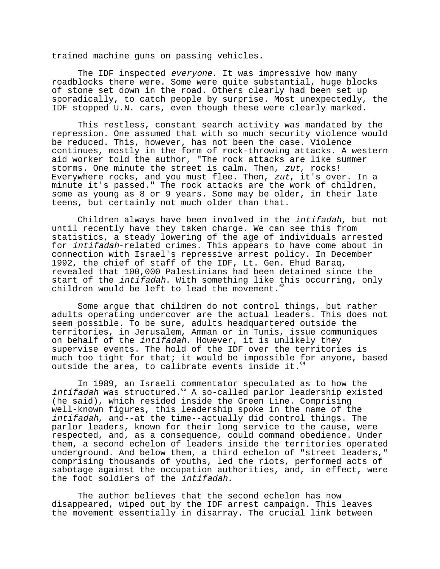trained machine guns on passing vehicles.

The IDF inspected everyone. It was impressive how many roadblocks there were. Some were quite substantial, huge blocks of stone set down in the road. Others clearly had been set up sporadically, to catch people by surprise. Most unexpectedly, the IDF stopped U.N. cars, even though these were clearly marked.

This restless, constant search activity was mandated by the repression. One assumed that with so much security violence would be reduced. This, however, has not been the case. Violence continues, mostly in the form of rock-throwing attacks. A western aid worker told the author, "The rock attacks are like summer storms. One minute the street is calm. Then, zut, rocks! Everywhere rocks, and you must flee. Then, zut, it's over. In a minute it's passed." The rock attacks are the work of children, some as young as 8 or 9 years. Some may be older, in their late teens, but certainly not much older than that.

Children always have been involved in the intifadah, but not until recently have they taken charge. We can see this from statistics, a steady lowering of the age of individuals arrested for intifadah-related crimes. This appears to have come about in connection with Israel's repressive arrest policy. In December 1992, the chief of staff of the IDF, Lt. Gen. Ehud Baraq, revealed that 100,000 Palestinians had been detained since the start of the *intifadah*. With something like this occurring, only children would be left to lead the movement. $63$ 

Some argue that children do not control things, but rather adults operating undercover are the actual leaders. This does not seem possible. To be sure, adults headquartered outside the territories, in Jerusalem, Amman or in Tunis, issue communiques on behalf of the intifadah. However, it is unlikely they supervise events. The hold of the IDF over the territories is much too tight for that; it would be impossible for anyone, based outside the area, to calibrate events inside it.<sup>6</sup>

In 1989, an Israeli commentator speculated as to how the intifadah was structured.<sup>65</sup> A so-called parlor leadership existed (he said), which resided inside the Green Line. Comprising well-known figures, this leadership spoke in the name of the intifadah, and--at the time--actually did control things. The parlor leaders, known for their long service to the cause, were respected, and, as a consequence, could command obedience. Under them, a second echelon of leaders inside the territories operated underground. And below them, a third echelon of "street leaders," comprising thousands of youths, led the riots, performed acts of sabotage against the occupation authorities, and, in effect, were the foot soldiers of the intifadah.

The author believes that the second echelon has now disappeared, wiped out by the IDF arrest campaign. This leaves the movement essentially in disarray. The crucial link between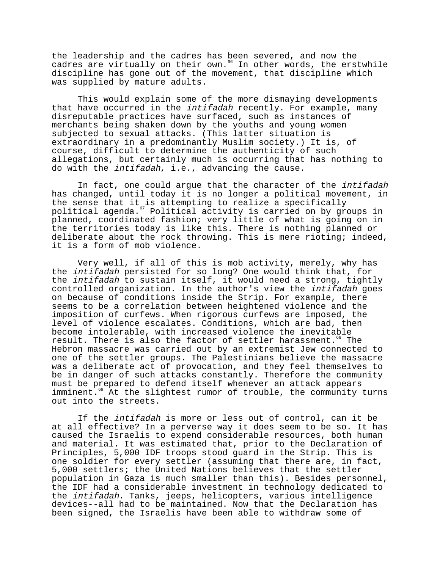the leadership and the cadres has been severed, and now the cadres are virtually on their own.<sup>66</sup> In other words, the erstwhile discipline has gone out of the movement, that discipline which was supplied by mature adults.

This would explain some of the more dismaying developments that have occurred in the intifadah recently. For example, many disreputable practices have surfaced, such as instances of merchants being shaken down by the youths and young women subjected to sexual attacks. (This latter situation is extraordinary in a predominantly Muslim society.) It is, of course, difficult to determine the authenticity of such allegations, but certainly much is occurring that has nothing to do with the intifadah, i.e., advancing the cause.

In fact, one could argue that the character of the intifadah has changed, until today it is no longer a political movement, in the sense that it is attempting to realize a specifically political agenda.<sup>67</sup> Political activity is carried on by groups in planned, coordinated fashion; very little of what is going on in the territories today is like this. There is nothing planned or deliberate about the rock throwing. This is mere rioting; indeed, it is a form of mob violence.

Very well, if all of this is mob activity, merely, why has the intifadah persisted for so long? One would think that, for the intifadah to sustain itself, it would need a strong, tightly controlled organization. In the author's view the intifadah goes on because of conditions inside the Strip. For example, there seems to be a correlation between heightened violence and the imposition of curfews. When rigorous curfews are imposed, the level of violence escalates. Conditions, which are bad, then become intolerable, with increased violence the inevitable<br>result. There is also the factor of settler harassment. <sup>8</sup> The result. There is also the factor of settler harassment.<sup>6</sup> Hebron massacre was carried out by an extremist Jew connected to one of the settler groups. The Palestinians believe the massacre was a deliberate act of provocation, and they feel themselves to be in danger of such attacks constantly. Therefore the community must be prepared to defend itself whenever an attack appears imminent.<sup>69</sup> At the slightest rumor of trouble, the community turns out into the streets.

If the intifadah is more or less out of control, can it be at all effective? In a perverse way it does seem to be so. It has caused the Israelis to expend considerable resources, both human and material. It was estimated that, prior to the Declaration of Principles, 5,000 IDF troops stood guard in the Strip. This is one soldier for every settler (assuming that there are, in fact, 5,000 settlers; the United Nations believes that the settler population in Gaza is much smaller than this). Besides personnel, the IDF had a considerable investment in technology dedicated to the intifadah. Tanks, jeeps, helicopters, various intelligence devices--all had to be maintained. Now that the Declaration has been signed, the Israelis have been able to withdraw some of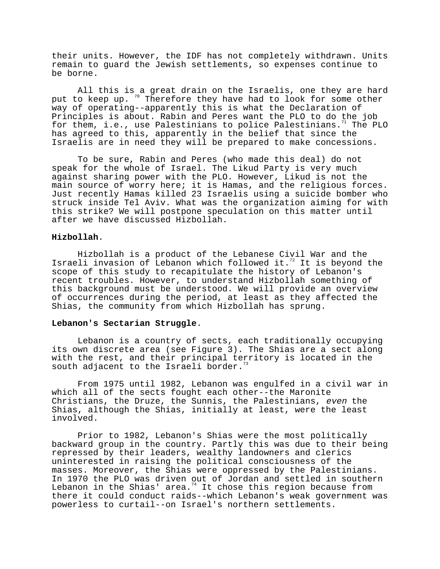their units. However, the IDF has not completely withdrawn. Units remain to guard the Jewish settlements, so expenses continue to be borne.

All this is a great drain on the Israelis, one they are hard put to keep up. Therefore they have had to look for some other way of operating--apparently this is what the Declaration of Principles is about. Rabin and Peres want the PLO to do the job for them, i.e., use Palestinians to police Palestinians.<sup>71</sup> The PLO has agreed to this, apparently in the belief that since the Israelis are in need they will be prepared to make concessions.

To be sure, Rabin and Peres (who made this deal) do not speak for the whole of Israel. The Likud Party is very much against sharing power with the PLO. However, Likud is not the main source of worry here; it is Hamas, and the religious forces. Just recently Hamas killed 23 Israelis using a suicide bomber who struck inside Tel Aviv. What was the organization aiming for with this strike? We will postpone speculation on this matter until after we have discussed Hizbollah.

# **Hizbollah**.

Hizbollah is a product of the Lebanese Civil War and the Israeli invasion of Lebanon which followed it.<sup>72</sup> It is beyond the scope of this study to recapitulate the history of Lebanon's recent troubles. However, to understand Hizbollah something of this background must be understood. We will provide an overview of occurrences during the period, at least as they affected the Shias, the community from which Hizbollah has sprung.

# **Lebanon's Sectarian Struggle**.

Lebanon is a country of sects, each traditionally occupying its own discrete area (see Figure 3). The Shias are a sect along with the rest, and their principal territory is located in the south adjacent to the Israeli border.<sup>7</sup>

From 1975 until 1982, Lebanon was engulfed in a civil war in which all of the sects fought each other--the Maronite Christians, the Druze, the Sunnis, the Palestinians, even the Shias, although the Shias, initially at least, were the least involved.

Prior to 1982, Lebanon's Shias were the most politically backward group in the country. Partly this was due to their being repressed by their leaders, wealthy landowners and clerics uninterested in raising the political consciousness of the masses. Moreover, the Shias were oppressed by the Palestinians. In 1970 the PLO was driven out of Jordan and settled in southern Lebanon in the Shias' area.<sup>74</sup> It chose this region because from there it could conduct raids--which Lebanon's weak government was powerless to curtail--on Israel's northern settlements.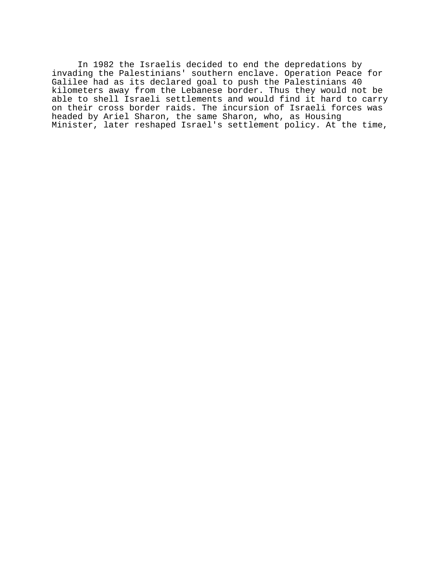In 1982 the Israelis decided to end the depredations by invading the Palestinians' southern enclave. Operation Peace for Galilee had as its declared goal to push the Palestinians 40 kilometers away from the Lebanese border. Thus they would not be able to shell Israeli settlements and would find it hard to carry on their cross border raids. The incursion of Israeli forces was headed by Ariel Sharon, the same Sharon, who, as Housing Minister, later reshaped Israel's settlement policy. At the time,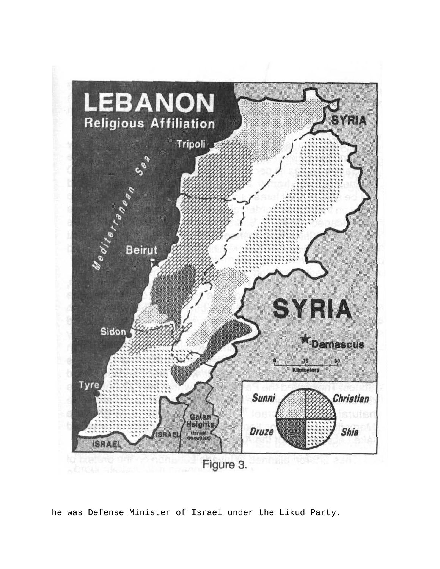

he was Defense Minister of Israel under the Likud Party.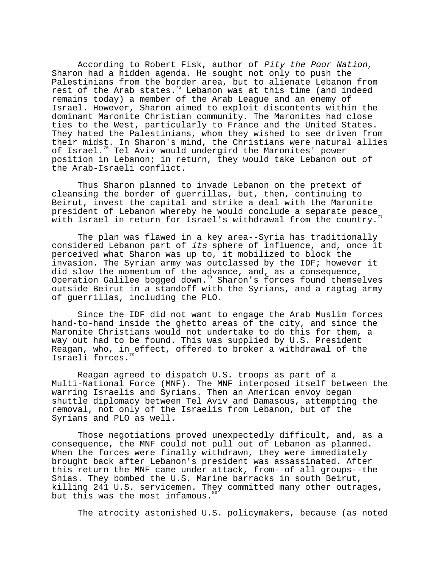According to Robert Fisk, author of Pity the Poor Nation, Sharon had a hidden agenda. He sought not only to push the Palestinians from the border area, but to alienate Lebanon from rest of the Arab states.<sup>75</sup> Lebanon was at this time (and indeed remains today) a member of the Arab League and an enemy of Israel. However, Sharon aimed to exploit discontents within the dominant Maronite Christian community. The Maronites had close ties to the West, particularly to France and the United States. They hated the Palestinians, whom they wished to see driven from their midst. In Sharon's mind, the Christians were natural allies of Israel.<sup>76</sup> Tel Aviv would undergird the Maronites' power position in Lebanon; in return, they would take Lebanon out of the Arab-Israeli conflict.

Thus Sharon planned to invade Lebanon on the pretext of cleansing the border of guerrillas, but, then, continuing to Beirut, invest the capital and strike a deal with the Maronite president of Lebanon whereby he would conclude a separate peace with Israel in return for Israel's withdrawal from the country.

The plan was flawed in a key area--Syria has traditionally considered Lebanon part of its sphere of influence, and, once it perceived what Sharon was up to, it mobilized to block the invasion. The Syrian army was outclassed by the IDF; however it did slow the momentum of the advance, and, as a consequence, Operation Galilee bogged down.<sup>78</sup> Sharon's forces found themselves outside Beirut in a standoff with the Syrians, and a ragtag army of guerrillas, including the PLO.

Since the IDF did not want to engage the Arab Muslim forces hand-to-hand inside the ghetto areas of the city, and since the Maronite Christians would not undertake to do this for them, a way out had to be found. This was supplied by U.S. President Reagan, who, in effect, offered to broker a withdrawal of the Israeli forces.

Reagan agreed to dispatch U.S. troops as part of a Multi-National Force (MNF). The MNF interposed itself between the warring Israelis and Syrians. Then an American envoy began shuttle diplomacy between Tel Aviv and Damascus, attempting the removal, not only of the Israelis from Lebanon, but of the Syrians and PLO as well.

Those negotiations proved unexpectedly difficult, and, as a consequence, the MNF could not pull out of Lebanon as planned. When the forces were finally withdrawn, they were immediately brought back after Lebanon's president was assassinated. After this return the MNF came under attack, from--of all groups--the Shias. They bombed the U.S. Marine barracks in south Beirut, killing 241 U.S. servicemen. They committed many other outrages, but this was the most infamous.

The atrocity astonished U.S. policymakers, because (as noted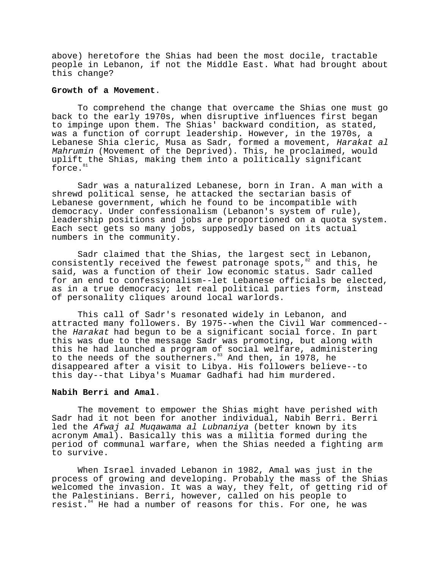above) heretofore the Shias had been the most docile, tractable people in Lebanon, if not the Middle East. What had brought about this change?

# **Growth of a Movement**.

To comprehend the change that overcame the Shias one must go back to the early 1970s, when disruptive influences first began to impinge upon them. The Shias' backward condition, as stated, was a function of corrupt leadership. However, in the 1970s, a Lebanese Shia cleric, Musa as Sadr, formed a movement, Harakat al Mahrumin (Movement of the Deprived). This, he proclaimed, would uplift the Shias, making them into a politically significant force.<sup>8</sup>

Sadr was a naturalized Lebanese, born in Iran. A man with a shrewd political sense, he attacked the sectarian basis of Lebanese government, which he found to be incompatible with democracy. Under confessionalism (Lebanon's system of rule), leadership positions and jobs are proportioned on a quota system. Each sect gets so many jobs, supposedly based on its actual numbers in the community.

Sadr claimed that the Shias, the largest sect in Lebanon, consistently received the fewest patronage spots,<sup>82</sup> and this, he said, was a function of their low economic status. Sadr called for an end to confessionalism--let Lebanese officials be elected, as in a true democracy; let real political parties form, instead of personality cliques around local warlords.

This call of Sadr's resonated widely in Lebanon, and attracted many followers. By 1975--when the Civil War commenced- the Harakat had begun to be a significant social force. In part this was due to the message Sadr was promoting, but along with this he had launched a program of social welfare, administering to the needs of the southerners.<sup>83</sup> And then, in 1978, he disappeared after a visit to Libya. His followers believe--to this day--that Libya's Muamar Gadhafi had him murdered.

### **Nabih Berri and Amal**.

The movement to empower the Shias might have perished with Sadr had it not been for another individual, Nabih Berri. Berri led the Afwaj al Muqawama al Lubnaniya (better known by its acronym Amal). Basically this was a militia formed during the period of communal warfare, when the Shias needed a fighting arm to survive.

When Israel invaded Lebanon in 1982, Amal was just in the process of growing and developing. Probably the mass of the Shias welcomed the invasion. It was a way, they felt, of getting rid of the Palestinians. Berri, however, called on his people to resist.<sup>84</sup> He had a number of reasons for this. For one, he was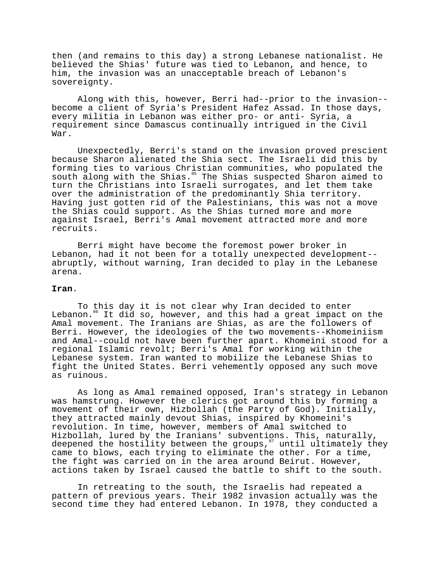then (and remains to this day) a strong Lebanese nationalist. He believed the Shias' future was tied to Lebanon, and hence, to him, the invasion was an unacceptable breach of Lebanon's sovereignty.

Along with this, however, Berri had--prior to the invasion- become a client of Syria's President Hafez Assad. In those days, every militia in Lebanon was either pro- or anti- Syria, a requirement since Damascus continually intrigued in the Civil War.

Unexpectedly, Berri's stand on the invasion proved prescient because Sharon alienated the Shia sect. The Israeli did this by forming ties to various Christian communities, who populated the south along with the Shias.<sup>85</sup> The Shias suspected Sharon aimed to turn the Christians into Israeli surrogates, and let them take over the administration of the predominantly Shia territory. Having just gotten rid of the Palestinians, this was not a move the Shias could support. As the Shias turned more and more against Israel, Berri's Amal movement attracted more and more recruits.

Berri might have become the foremost power broker in Lebanon, had it not been for a totally unexpected development- abruptly, without warning, Iran decided to play in the Lebanese arena.

# **Iran**.

To this day it is not clear why Iran decided to enter Lebanon.<sup>86</sup> It did so, however, and this had a great impact on the Amal movement. The Iranians are Shias, as are the followers of Berri. However, the ideologies of the two movements--Khomeiniism and Amal--could not have been further apart. Khomeini stood for a regional Islamic revolt; Berri's Amal for working within the Lebanese system. Iran wanted to mobilize the Lebanese Shias to fight the United States. Berri vehemently opposed any such move as ruinous.

As long as Amal remained opposed, Iran's strategy in Lebanon was hamstrung. However the clerics got around this by forming a movement of their own, Hizbollah (the Party of God). Initially, they attracted mainly devout Shias, inspired by Khomeini's revolution. In time, however, members of Amal switched to Hizbollah, lured by the Iranians' subventions. This, naturally, deepened the hostility between the groups, $87$  until ultimately they came to blows, each trying to eliminate the other. For a time, the fight was carried on in the area around Beirut. However, actions taken by Israel caused the battle to shift to the south.

In retreating to the south, the Israelis had repeated a pattern of previous years. Their 1982 invasion actually was the second time they had entered Lebanon. In 1978, they conducted a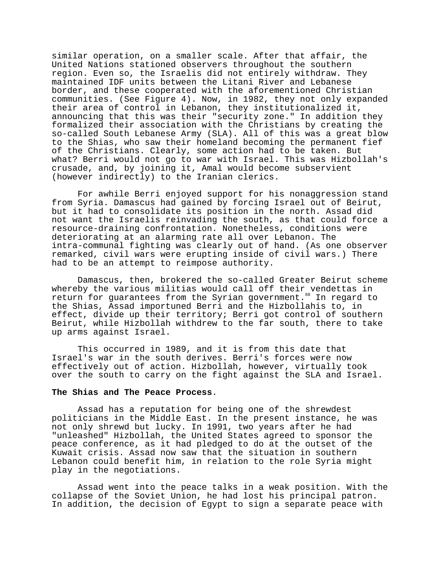similar operation, on a smaller scale. After that affair, the United Nations stationed observers throughout the southern region. Even so, the Israelis did not entirely withdraw. They maintained IDF units between the Litani River and Lebanese border, and these cooperated with the aforementioned Christian communities. (See Figure 4). Now, in 1982, they not only expanded their area of control in Lebanon, they institutionalized it, announcing that this was their "security zone." In addition they formalized their association with the Christians by creating the so-called South Lebanese Army (SLA). All of this was a great blow to the Shias, who saw their homeland becoming the permanent fief of the Christians. Clearly, some action had to be taken. But what? Berri would not go to war with Israel. This was Hizbollah's crusade, and, by joining it, Amal would become subservient (however indirectly) to the Iranian clerics.

For awhile Berri enjoyed support for his nonaggression stand from Syria. Damascus had gained by forcing Israel out of Beirut, but it had to consolidate its position in the north. Assad did not want the Israelis reinvading the south, as that could force a resource-draining confrontation. Nonetheless, conditions were deteriorating at an alarming rate all over Lebanon. The intra-communal fighting was clearly out of hand. (As one observer remarked, civil wars were erupting inside of civil wars.) There had to be an attempt to reimpose authority.

Damascus, then, brokered the so-called Greater Beirut scheme whereby the various militias would call off their vendettas in return for guarantees from the Syrian government.<sup>88</sup> In regard to the Shias, Assad importuned Berri and the Hizbollahis to, in effect, divide up their territory; Berri got control of southern Beirut, while Hizbollah withdrew to the far south, there to take up arms against Israel.

This occurred in 1989, and it is from this date that Israel's war in the south derives. Berri's forces were now effectively out of action. Hizbollah, however, virtually took over the south to carry on the fight against the SLA and Israel.

### **The Shias and The Peace Process**.

Assad has a reputation for being one of the shrewdest politicians in the Middle East. In the present instance, he was not only shrewd but lucky. In 1991, two years after he had "unleashed" Hizbollah, the United States agreed to sponsor the peace conference, as it had pledged to do at the outset of the Kuwait crisis. Assad now saw that the situation in southern Lebanon could benefit him, in relation to the role Syria might play in the negotiations.

Assad went into the peace talks in a weak position. With the collapse of the Soviet Union, he had lost his principal patron. In addition, the decision of Egypt to sign a separate peace with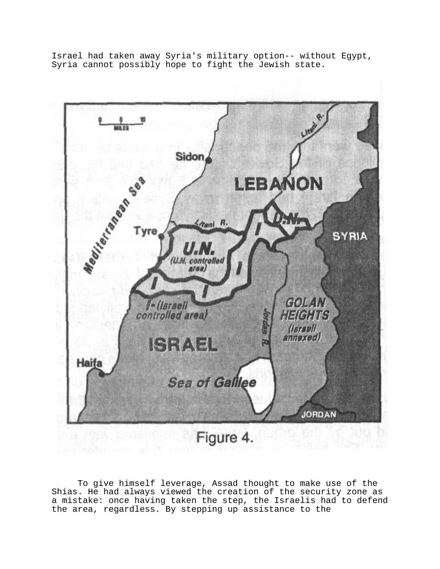Israel had taken away Syria's military option-- without Egypt, Syria cannot possibly hope to fight the Jewish state.



To give himself leverage, Assad thought to make use of the Shias. He had always viewed the creation of the security zone as a mistake: once having taken the step, the Israelis had to defend the area, regardless. By stepping up assistance to the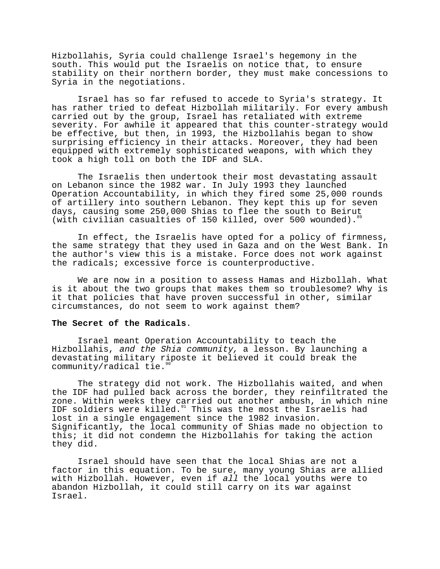Hizbollahis, Syria could challenge Israel's hegemony in the south. This would put the Israelis on notice that, to ensure stability on their northern border, they must make concessions to Syria in the negotiations.

Israel has so far refused to accede to Syria's strategy. It has rather tried to defeat Hizbollah militarily. For every ambush carried out by the group, Israel has retaliated with extreme severity. For awhile it appeared that this counter-strategy would be effective, but then, in 1993, the Hizbollahis began to show surprising efficiency in their attacks. Moreover, they had been equipped with extremely sophisticated weapons, with which they took a high toll on both the IDF and SLA.

The Israelis then undertook their most devastating assault on Lebanon since the 1982 war. In July 1993 they launched Operation Accountability, in which they fired some 25,000 rounds of artillery into southern Lebanon. They kept this up for seven days, causing some 250,000 Shias to flee the south to Beirut (with civilian casualties of 150 killed, over 500 wounded).

In effect, the Israelis have opted for a policy of firmness, the same strategy that they used in Gaza and on the West Bank. In the author's view this is a mistake. Force does not work against the radicals; excessive force is counterproductive.

We are now in a position to assess Hamas and Hizbollah. What is it about the two groups that makes them so troublesome? Why is it that policies that have proven successful in other, similar circumstances, do not seem to work against them?

### **The Secret of the Radicals**.

Israel meant Operation Accountability to teach the Hizbollahis, and the Shia community, a lesson. By launching a devastating military riposte it believed it could break the community/radical tie.<sup>9</sup>

The strategy did not work. The Hizbollahis waited, and when the IDF had pulled back across the border, they reinfiltrated the zone. Within weeks they carried out another ambush, in which nine IDF soldiers were killed.<sup>91</sup> This was the most the Israelis had lost in a single engagement since the 1982 invasion. Significantly, the local community of Shias made no objection to this; it did not condemn the Hizbollahis for taking the action they did.

Israel should have seen that the local Shias are not a factor in this equation. To be sure, many young Shias are allied with Hizbollah. However, even if all the local youths were to abandon Hizbollah, it could still carry on its war against Israel.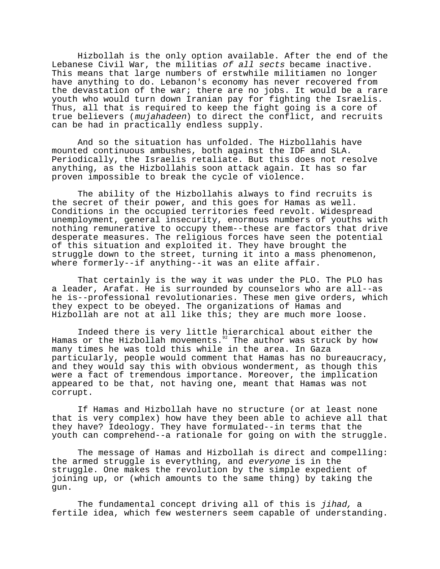Hizbollah is the only option available. After the end of the Lebanese Civil War, the militias of all sects became inactive. This means that large numbers of erstwhile militiamen no longer have anything to do. Lebanon's economy has never recovered from the devastation of the war; there are no jobs. It would be a rare youth who would turn down Iranian pay for fighting the Israelis. Thus, all that is required to keep the fight going is a core of true believers (mujahadeen) to direct the conflict, and recruits can be had in practically endless supply.

And so the situation has unfolded. The Hizbollahis have mounted continuous ambushes, both against the IDF and SLA. Periodically, the Israelis retaliate. But this does not resolve anything, as the Hizbollahis soon attack again. It has so far proven impossible to break the cycle of violence.

The ability of the Hizbollahis always to find recruits is the secret of their power, and this goes for Hamas as well. Conditions in the occupied territories feed revolt. Widespread unemployment, general insecurity, enormous numbers of youths with nothing remunerative to occupy them--these are factors that drive desperate measures. The religious forces have seen the potential of this situation and exploited it. They have brought the struggle down to the street, turning it into a mass phenomenon, where formerly--if anything--it was an elite affair.

That certainly is the way it was under the PLO. The PLO has a leader, Arafat. He is surrounded by counselors who are all--as he is--professional revolutionaries. These men give orders, which they expect to be obeyed. The organizations of Hamas and Hizbollah are not at all like this; they are much more loose.

Indeed there is very little hierarchical about either the Hamas or the Hizbollah movements. $92$  The author was struck by how many times he was told this while in the area. In Gaza particularly, people would comment that Hamas has no bureaucracy, and they would say this with obvious wonderment, as though this were a fact of tremendous importance. Moreover, the implication appeared to be that, not having one, meant that Hamas was not corrupt.

If Hamas and Hizbollah have no structure (or at least none that is very complex) how have they been able to achieve all that they have? Ideology. They have formulated--in terms that the youth can comprehend--a rationale for going on with the struggle.

The message of Hamas and Hizbollah is direct and compelling: the armed struggle is everything, and everyone is in the struggle. One makes the revolution by the simple expedient of joining up, or (which amounts to the same thing) by taking the gun.

The fundamental concept driving all of this is *jihad,* a fertile idea, which few westerners seem capable of understanding.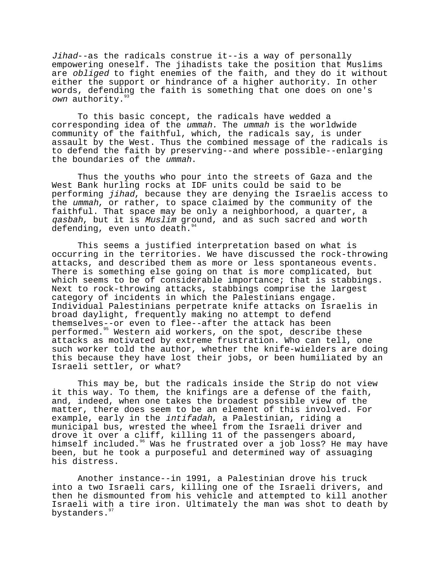Jihad--as the radicals construe it--is a way of personally empowering oneself. The jihadists take the position that Muslims are obliged to fight enemies of the faith, and they do it without either the support or hindrance of a higher authority. In other words, defending the faith is something that one does on one's own authority.<sup>9</sup>

To this basic concept, the radicals have wedded a corresponding idea of the ummah. The ummah is the worldwide community of the faithful, which, the radicals say, is under assault by the West. Thus the combined message of the radicals is to defend the faith by preserving--and where possible--enlarging the boundaries of the ummah.

Thus the youths who pour into the streets of Gaza and the West Bank hurling rocks at IDF units could be said to be performing jihad, because they are denying the Israelis access to the ummah, or rather, to space claimed by the community of the faithful. That space may be only a neighborhood, a quarter, a qasbah, but it is Muslim ground, and as such sacred and worth defending, even unto death."

This seems a justified interpretation based on what is occurring in the territories. We have discussed the rock-throwing attacks, and described them as more or less spontaneous events. There is something else going on that is more complicated, but which seems to be of considerable importance; that is stabbings. Next to rock-throwing attacks, stabbings comprise the largest category of incidents in which the Palestinians engage. Individual Palestinians perpetrate knife attacks on Israelis in broad daylight, frequently making no attempt to defend themselves--or even to flee--after the attack has been performed.<sup>95</sup> Western aid workers, on the spot, describe these attacks as motivated by extreme frustration. Who can tell, one such worker told the author, whether the knife-wielders are doing this because they have lost their jobs, or been humiliated by an Israeli settler, or what?

This may be, but the radicals inside the Strip do not view it this way. To them, the knifings are a defense of the faith, and, indeed, when one takes the broadest possible view of the matter, there does seem to be an element of this involved. For example, early in the intifadah, a Palestinian, riding a municipal bus, wrested the wheel from the Israeli driver and drove it over a cliff, killing 11 of the passengers aboard, himself included.<sup>96</sup> Was he frustrated over a job loss? He may have been, but he took a purposeful and determined way of assuaging his distress.

Another instance--in 1991, a Palestinian drove his truck into a two Israeli cars, killing one of the Israeli drivers, and then he dismounted from his vehicle and attempted to kill another Israeli with a tire iron. Ultimately the man was shot to death by bystanders.<sup>9</sup>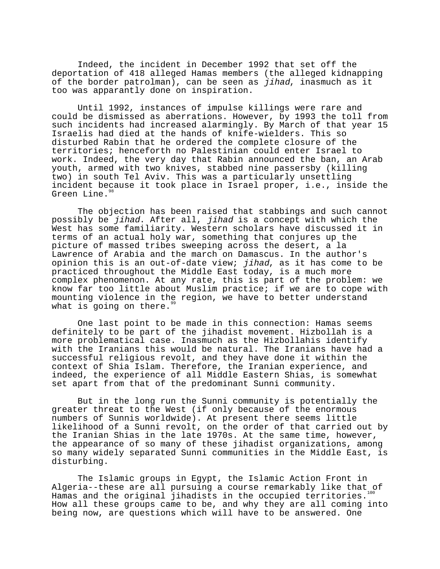Indeed, the incident in December 1992 that set off the deportation of 418 alleged Hamas members (the alleged kidnapping of the border patrolman), can be seen as jihad, inasmuch as it too was apparantly done on inspiration.

Until 1992, instances of impulse killings were rare and could be dismissed as aberrations. However, by 1993 the toll from such incidents had increased alarmingly. By March of that year 15 Israelis had died at the hands of knife-wielders. This so disturbed Rabin that he ordered the complete closure of the territories; henceforth no Palestinian could enter Israel to work. Indeed, the very day that Rabin announced the ban, an Arab youth, armed with two knives, stabbed nine passersby (killing two) in south Tel Aviv. This was a particularly unsettling incident because it took place in Israel proper, i.e., inside the Green Line.<sup>98</sup>

The objection has been raised that stabbings and such cannot possibly be jihad. After all, jihad is a concept with which the West has some familiarity. Western scholars have discussed it in terms of an actual holy war, something that conjures up the picture of massed tribes sweeping across the desert, a la Lawrence of Arabia and the march on Damascus. In the author's opinion this is an out-of-date view; jihad, as it has come to be practiced throughout the Middle East today, is a much more complex phenomenon. At any rate, this is part of the problem: we know far too little about Muslim practice; if we are to cope with mounting violence in the region, we have to better understand what is going on there. $99$ 

One last point to be made in this connection: Hamas seems definitely to be part of the jihadist movement. Hizbollah is a more problematical case. Inasmuch as the Hizbollahis identify with the Iranians this would be natural. The Iranians have had a successful religious revolt, and they have done it within the context of Shia Islam. Therefore, the Iranian experience, and indeed, the experience of all Middle Eastern Shias, is somewhat set apart from that of the predominant Sunni community.

But in the long run the Sunni community is potentially the greater threat to the West (if only because of the enormous numbers of Sunnis worldwide). At present there seems little likelihood of a Sunni revolt, on the order of that carried out by the Iranian Shias in the late 1970s. At the same time, however, the appearance of so many of these jihadist organizations, among so many widely separated Sunni communities in the Middle East, is disturbing.

The Islamic groups in Egypt, the Islamic Action Front in Algeria--these are all pursuing a course remarkably like that of Hamas and the original jihadists in the occupied territories.<sup>100</sup> How all these groups came to be, and why they are all coming into being now, are questions which will have to be answered. One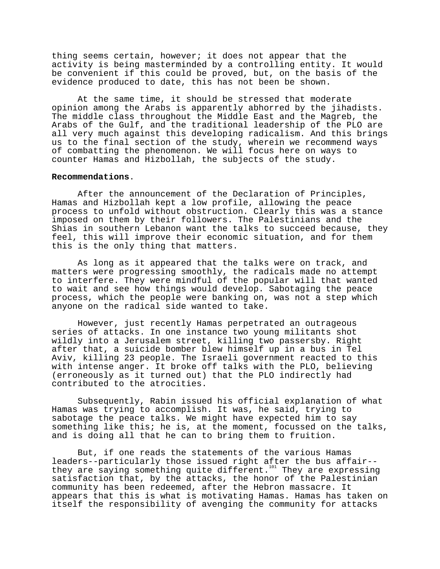thing seems certain, however; it does not appear that the activity is being masterminded by a controlling entity. It would be convenient if this could be proved, but, on the basis of the evidence produced to date, this has not been be shown.

At the same time, it should be stressed that moderate opinion among the Arabs is apparently abhorred by the jihadists. The middle class throughout the Middle East and the Magreb, the Arabs of the Gulf, and the traditional leadership of the PLO are all very much against this developing radicalism. And this brings us to the final section of the study, wherein we recommend ways of combatting the phenomenon. We will focus here on ways to counter Hamas and Hizbollah, the subjects of the study.

### **Recommendations**.

After the announcement of the Declaration of Principles, Hamas and Hizbollah kept a low profile, allowing the peace process to unfold without obstruction. Clearly this was a stance imposed on them by their followers. The Palestinians and the Shias in southern Lebanon want the talks to succeed because, they feel, this will improve their economic situation, and for them this is the only thing that matters.

As long as it appeared that the talks were on track, and matters were progressing smoothly, the radicals made no attempt to interfere. They were mindful of the popular will that wanted to wait and see how things would develop. Sabotaging the peace process, which the people were banking on, was not a step which anyone on the radical side wanted to take.

However, just recently Hamas perpetrated an outrageous series of attacks. In one instance two young militants shot wildly into a Jerusalem street, killing two passersby. Right after that, a suicide bomber blew himself up in a bus in Tel Aviv, killing 23 people. The Israeli government reacted to this with intense anger. It broke off talks with the PLO, believing (erroneously as it turned out) that the PLO indirectly had contributed to the atrocities.

Subsequently, Rabin issued his official explanation of what Hamas was trying to accomplish. It was, he said, trying to sabotage the peace talks. We might have expected him to say something like this; he is, at the moment, focussed on the talks, and is doing all that he can to bring them to fruition.

But, if one reads the statements of the various Hamas leaders--particularly those issued right after the bus affair- they are saying something quite different.<sup>101</sup> They are expressing satisfaction that, by the attacks, the honor of the Palestinian community has been redeemed, after the Hebron massacre. It appears that this is what is motivating Hamas. Hamas has taken on itself the responsibility of avenging the community for attacks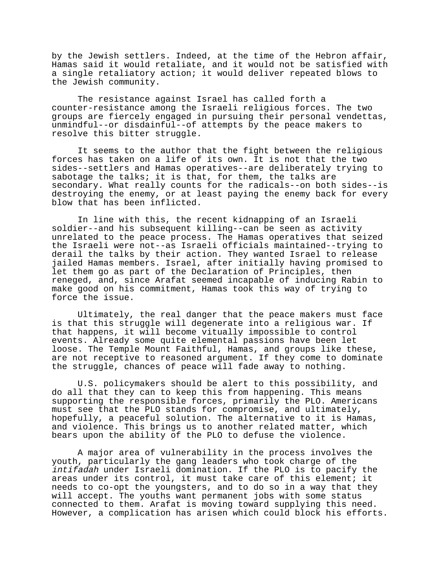by the Jewish settlers. Indeed, at the time of the Hebron affair, Hamas said it would retaliate, and it would not be satisfied with a single retaliatory action; it would deliver repeated blows to the Jewish community.

The resistance against Israel has called forth a counter-resistance among the Israeli religious forces. The two groups are fiercely engaged in pursuing their personal vendettas, unmindful--or disdainful--of attempts by the peace makers to resolve this bitter struggle.

It seems to the author that the fight between the religious forces has taken on a life of its own. It is not that the two sides--settlers and Hamas operatives--are deliberately trying to sabotage the talks; it is that, for them, the talks are secondary. What really counts for the radicals--on both sides--is destroying the enemy, or at least paying the enemy back for every blow that has been inflicted.

In line with this, the recent kidnapping of an Israeli soldier--and his subsequent killing--can be seen as activity unrelated to the peace process. The Hamas operatives that seized the Israeli were not--as Israeli officials maintained--trying to derail the talks by their action. They wanted Israel to release jailed Hamas members. Israel, after initially having promised to let them go as part of the Declaration of Principles, then reneged, and, since Arafat seemed incapable of inducing Rabin to make good on his commitment, Hamas took this way of trying to force the issue.

Ultimately, the real danger that the peace makers must face is that this struggle will degenerate into a religious war. If that happens, it will become vitually impossible to control events. Already some quite elemental passions have been let loose. The Temple Mount Faithful, Hamas, and groups like these, are not receptive to reasoned argument. If they come to dominate the struggle, chances of peace will fade away to nothing.

U.S. policymakers should be alert to this possibility, and do all that they can to keep this from happening. This means supporting the responsible forces, primarily the PLO. Americans must see that the PLO stands for compromise, and ultimately, hopefully, a peaceful solution. The alternative to it is Hamas, and violence. This brings us to another related matter, which bears upon the ability of the PLO to defuse the violence.

A major area of vulnerability in the process involves the youth, particularly the gang leaders who took charge of the intifadah under Israeli domination. If the PLO is to pacify the areas under its control, it must take care of this element; it needs to co-opt the youngsters, and to do so in a way that they will accept. The youths want permanent jobs with some status connected to them. Arafat is moving toward supplying this need. However, a complication has arisen which could block his efforts.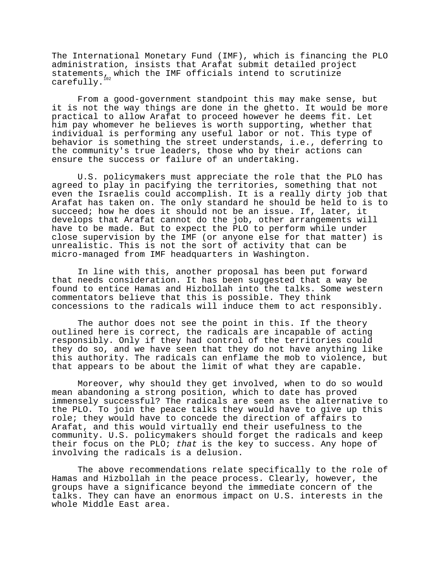The International Monetary Fund (IMF), which is financing the PLO administration, insists that Arafat submit detailed project statements, which the IMF officials intend to scrutinize carefully.

From a good-government standpoint this may make sense, but it is not the way things are done in the ghetto. It would be more practical to allow Arafat to proceed however he deems fit. Let him pay whomever he believes is worth supporting, whether that individual is performing any useful labor or not. This type of behavior is something the street understands, i.e., deferring to the community's true leaders, those who by their actions can ensure the success or failure of an undertaking.

U.S. policymakers must appreciate the role that the PLO has agreed to play in pacifying the territories, something that not even the Israelis could accomplish. It is a really dirty job that Arafat has taken on. The only standard he should be held to is to succeed; how he does it should not be an issue. If, later, it develops that Arafat cannot do the job, other arrangements will have to be made. But to expect the PLO to perform while under close supervision by the IMF (or anyone else for that matter) is unrealistic. This is not the sort of activity that can be micro-managed from IMF headquarters in Washington.

In line with this, another proposal has been put forward that needs consideration. It has been suggested that a way be found to entice Hamas and Hizbollah into the talks. Some western commentators believe that this is possible. They think concessions to the radicals will induce them to act responsibly.

The author does not see the point in this. If the theory outlined here is correct, the radicals are incapable of acting responsibly. Only if they had control of the territories could they do so, and we have seen that they do not have anything like this authority. The radicals can enflame the mob to violence, but that appears to be about the limit of what they are capable.

Moreover, why should they get involved, when to do so would mean abandoning a strong position, which to date has proved immensely successful? The radicals are seen as the alternative to the PLO. To join the peace talks they would have to give up this role; they would have to concede the direction of affairs to Arafat, and this would virtually end their usefulness to the community. U.S. policymakers should forget the radicals and keep their focus on the PLO; that is the key to success. Any hope of involving the radicals is a delusion.

The above recommendations relate specifically to the role of Hamas and Hizbollah in the peace process. Clearly, however, the groups have a significance beyond the immediate concern of the talks. They can have an enormous impact on U.S. interests in the whole Middle East area.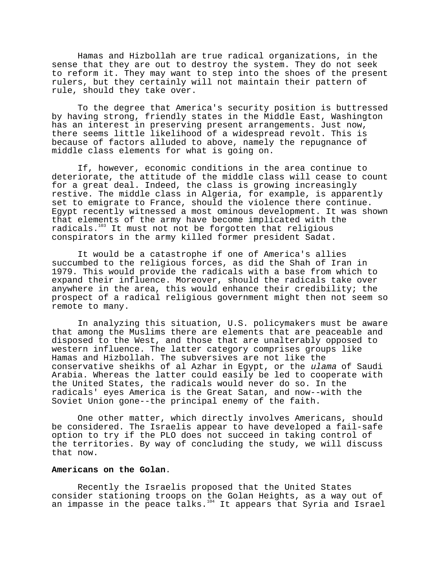Hamas and Hizbollah are true radical organizations, in the sense that they are out to destroy the system. They do not seek to reform it. They may want to step into the shoes of the present rulers, but they certainly will not maintain their pattern of rule, should they take over.

To the degree that America's security position is buttressed by having strong, friendly states in the Middle East, Washington has an interest in preserving present arrangements. Just now, there seems little likelihood of a widespread revolt. This is because of factors alluded to above, namely the repugnance of middle class elements for what is going on.

If, however, economic conditions in the area continue to deteriorate, the attitude of the middle class will cease to count for a great deal. Indeed, the class is growing increasingly restive. The middle class in Algeria, for example, is apparently set to emigrate to France, should the violence there continue. Egypt recently witnessed a most ominous development. It was shown that elements of the army have become implicated with the radicals.<sup>103</sup> It must not not be forgotten that religious conspirators in the army killed former president Sadat.

It would be a catastrophe if one of America's allies succumbed to the religious forces, as did the Shah of Iran in 1979. This would provide the radicals with a base from which to expand their influence. Moreover, should the radicals take over anywhere in the area, this would enhance their credibility; the prospect of a radical religious government might then not seem so remote to many.

In analyzing this situation, U.S. policymakers must be aware that among the Muslims there are elements that are peaceable and disposed to the West, and those that are unalterably opposed to western influence. The latter category comprises groups like Hamas and Hizbollah. The subversives are not like the conservative sheikhs of al Azhar in Egypt, or the ulama of Saudi Arabia. Whereas the latter could easily be led to cooperate with the United States, the radicals would never do so. In the radicals' eyes America is the Great Satan, and now--with the Soviet Union gone--the principal enemy of the faith.

One other matter, which directly involves Americans, should be considered. The Israelis appear to have developed a fail-safe option to try if the PLO does not succeed in taking control of the territories. By way of concluding the study, we will discuss that now.

### **Americans on the Golan**.

Recently the Israelis proposed that the United States consider stationing troops on the Golan Heights, as a way out of an impasse in the peace talks.104 It appears that Syria and Israel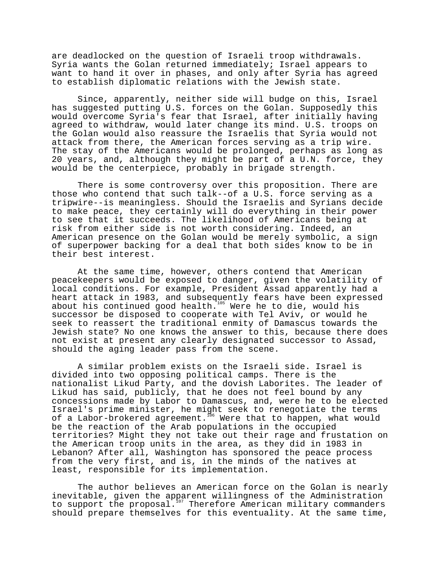are deadlocked on the question of Israeli troop withdrawals. Syria wants the Golan returned immediately; Israel appears to want to hand it over in phases, and only after Syria has agreed to establish diplomatic relations with the Jewish state.

Since, apparently, neither side will budge on this, Israel has suggested putting U.S. forces on the Golan. Supposedly this would overcome Syria's fear that Israel, after initially having agreed to withdraw, would later change its mind. U.S. troops on the Golan would also reassure the Israelis that Syria would not attack from there, the American forces serving as a trip wire. The stay of the Americans would be prolonged, perhaps as long as 20 years, and, although they might be part of a U.N. force, they would be the centerpiece, probably in brigade strength.

There is some controversy over this proposition. There are those who contend that such talk--of a U.S. force serving as a tripwire--is meaningless. Should the Israelis and Syrians decide to make peace, they certainly will do everything in their power to see that it succeeds. The likelihood of Americans being at risk from either side is not worth considering. Indeed, an American presence on the Golan would be merely symbolic, a sign of superpower backing for a deal that both sides know to be in their best interest.

At the same time, however, others contend that American peacekeepers would be exposed to danger, given the volatility of local conditions. For example, President Assad apparently had a heart attack in 1983, and subsequently fears have been expressed about his continued good health.<sup>105</sup> Were he to die, would his successor be disposed to cooperate with Tel Aviv, or would he seek to reassert the traditional enmity of Damascus towards the Jewish state? No one knows the answer to this, because there does not exist at present any clearly designated successor to Assad, should the aging leader pass from the scene.

A similar problem exists on the Israeli side. Israel is divided into two opposing political camps. There is the nationalist Likud Party, and the dovish Laborites. The leader of Likud has said, publicly, that he does not feel bound by any concessions made by Labor to Damascus, and, were he to be elected Israel's prime minister, he might seek to renegotiate the terms of a Labor-brokered agreement.<sup>106</sup> Were that to happen, what would be the reaction of the Arab populations in the occupied territories? Might they not take out their rage and frustation on the American troop units in the area, as they did in 1983 in Lebanon? After all, Washington has sponsored the peace process from the very first, and is, in the minds of the natives at least, responsible for its implementation.

The author believes an American force on the Golan is nearly inevitable, given the apparent willingness of the Administration to support the proposal.<sup>107</sup> Therefore American military commanders should prepare themselves for this eventuality. At the same time,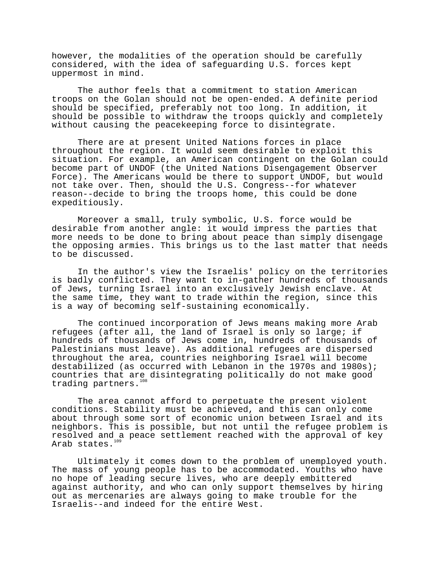however, the modalities of the operation should be carefully considered, with the idea of safeguarding U.S. forces kept uppermost in mind.

The author feels that a commitment to station American troops on the Golan should not be open-ended. A definite period should be specified, preferably not too long. In addition, it should be possible to withdraw the troops quickly and completely without causing the peacekeeping force to disintegrate.

There are at present United Nations forces in place throughout the region. It would seem desirable to exploit this situation. For example, an American contingent on the Golan could become part of UNDOF (the United Nations Disengagement Observer Force). The Americans would be there to support UNDOF, but would not take over. Then, should the U.S. Congress--for whatever reason--decide to bring the troops home, this could be done expeditiously.

Moreover a small, truly symbolic, U.S. force would be desirable from another angle: it would impress the parties that more needs to be done to bring about peace than simply disengage the opposing armies. This brings us to the last matter that needs to be discussed.

In the author's view the Israelis' policy on the territories is badly conflicted. They want to in-gather hundreds of thousands of Jews, turning Israel into an exclusively Jewish enclave. At the same time, they want to trade within the region, since this is a way of becoming self-sustaining economically.

The continued incorporation of Jews means making more Arab refugees (after all, the land of Israel is only so large; if hundreds of thousands of Jews come in, hundreds of thousands of Palestinians must leave). As additional refugees are dispersed throughout the area, countries neighboring Israel will become destabilized (as occurred with Lebanon in the 1970s and 1980s); countries that are disintegrating politically do not make good trading partners.<sup>108</sup>

The area cannot afford to perpetuate the present violent conditions. Stability must be achieved, and this can only come about through some sort of economic union between Israel and its neighbors. This is possible, but not until the refugee problem is resolved and a peace settlement reached with the approval of key Arab states. $^{\mathtt{109}}$ 

Ultimately it comes down to the problem of unemployed youth. The mass of young people has to be accommodated. Youths who have no hope of leading secure lives, who are deeply embittered against authority, and who can only support themselves by hiring out as mercenaries are always going to make trouble for the Israelis--and indeed for the entire West.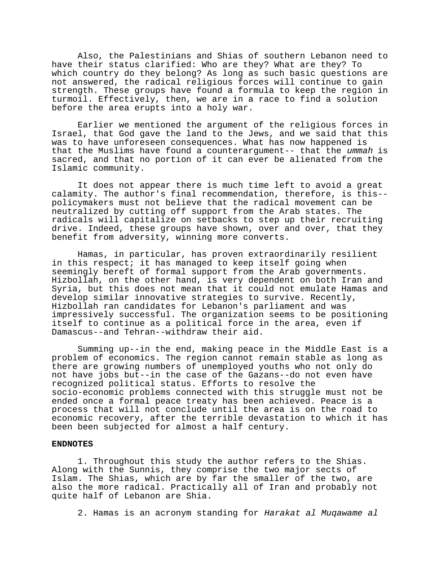Also, the Palestinians and Shias of southern Lebanon need to have their status clarified: Who are they? What are they? To which country do they belong? As long as such basic questions are not answered, the radical religious forces will continue to gain strength. These groups have found a formula to keep the region in turmoil. Effectively, then, we are in a race to find a solution before the area erupts into a holy war.

Earlier we mentioned the argument of the religious forces in Israel, that God gave the land to the Jews, and we said that this was to have unforeseen consequences. What has now happened is that the Muslims have found a counterargument-- that the ummah is sacred, and that no portion of it can ever be alienated from the Islamic community.

It does not appear there is much time left to avoid a great calamity. The author's final recommendation, therefore, is this- policymakers must not believe that the radical movement can be neutralized by cutting off support from the Arab states. The radicals will capitalize on setbacks to step up their recruiting drive. Indeed, these groups have shown, over and over, that they benefit from adversity, winning more converts.

Hamas, in particular, has proven extraordinarily resilient in this respect; it has managed to keep itself going when seemingly bereft of formal support from the Arab governments. Hizbollah, on the other hand, is very dependent on both Iran and Syria, but this does not mean that it could not emulate Hamas and develop similar innovative strategies to survive. Recently, Hizbollah ran candidates for Lebanon's parliament and was impressively successful. The organization seems to be positioning itself to continue as a political force in the area, even if Damascus--and Tehran--withdraw their aid.

Summing up--in the end, making peace in the Middle East is a problem of economics. The region cannot remain stable as long as there are growing numbers of unemployed youths who not only do not have jobs but--in the case of the Gazans--do not even have recognized political status. Efforts to resolve the socio-economic problems connected with this struggle must not be ended once a formal peace treaty has been achieved. Peace is a process that will not conclude until the area is on the road to economic recovery, after the terrible devastation to which it has been been subjected for almost a half century.

# **ENDNOTES**

1. Throughout this study the author refers to the Shias. Along with the Sunnis, they comprise the two major sects of Islam. The Shias, which are by far the smaller of the two, are also the more radical. Practically all of Iran and probably not quite half of Lebanon are Shia.

2. Hamas is an acronym standing for Harakat al Muqawame al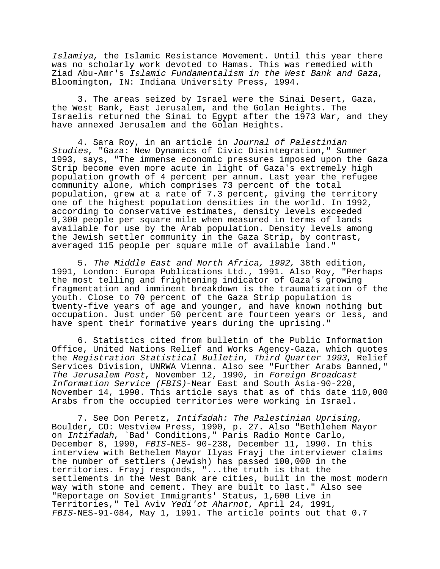Islamiya, the Islamic Resistance Movement. Until this year there was no scholarly work devoted to Hamas. This was remedied with Ziad Abu-Amr's Islamic Fundamentalism in the West Bank and Gaza, Bloomington, IN: Indiana University Press, 1994.

3. The areas seized by Israel were the Sinai Desert, Gaza, the West Bank, East Jerusalem, and the Golan Heights. The Israelis returned the Sinai to Egypt after the 1973 War, and they have annexed Jerusalem and the Golan Heights.

4. Sara Roy, in an article in Journal of Palestinian Studies, "Gaza: New Dynamics of Civic Disintegration," Summer 1993, says, "The immense economic pressures imposed upon the Gaza Strip become even more acute in light of Gaza's extremely high population growth of 4 percent per annum. Last year the refugee community alone, which comprises 73 percent of the total population, grew at a rate of 7.3 percent, giving the territory one of the highest population densities in the world. In 1992, according to conservative estimates, density levels exceeded 9,300 people per square mile when measured in terms of lands available for use by the Arab population. Density levels among the Jewish settler community in the Gaza Strip, by contrast, averaged 115 people per square mile of available land."

5. The Middle East and North Africa, 1992, 38th edition, 1991, London: Europa Publications Ltd., 1991. Also Roy, "Perhaps the most telling and frightening indicator of Gaza's growing fragmentation and imminent breakdown is the traumatization of the youth. Close to 70 percent of the Gaza Strip population is twenty-five years of age and younger, and have known nothing but occupation. Just under 50 percent are fourteen years or less, and have spent their formative years during the uprising."

6. Statistics cited from bulletin of the Public Information Office, United Nations Relief and Works Agency-Gaza, which quotes the Registration Statistical Bulletin, Third Quarter 1993, Relief Services Division, UNRWA Vienna. Also see "Further Arabs Banned," The Jerusalem Post, November 12, 1990, in Foreign Broadcast Information Service (FBIS)-Near East and South Asia-90-220, November 14, 1990. This article says that as of this date 110,000 Arabs from the occupied territories were working in Israel.

7. See Don Peretz, Intifadah: The Palestinian Uprising, Boulder, CO: Westview Press, 1990, p. 27. Also "Bethlehem Mayor on Intifadah, `Bad' Conditions," Paris Radio Monte Carlo, December 8, 1990, FBIS-NES- 90-238, December 11, 1990. In this interview with Bethelem Mayor Ilyas Frayj the interviewer claims the number of settlers (Jewish) has passed 100,000 in the territories. Frayj responds, "...the truth is that the settlements in the West Bank are cities, built in the most modern way with stone and cement. They are built to last." Also see "Reportage on Soviet Immigrants' Status, 1,600 Live in Territories," Tel Aviv Yedi'ot Aharnot, April 24, 1991, FBIS-NES-91-084, May 1, 1991. The article points out that 0.7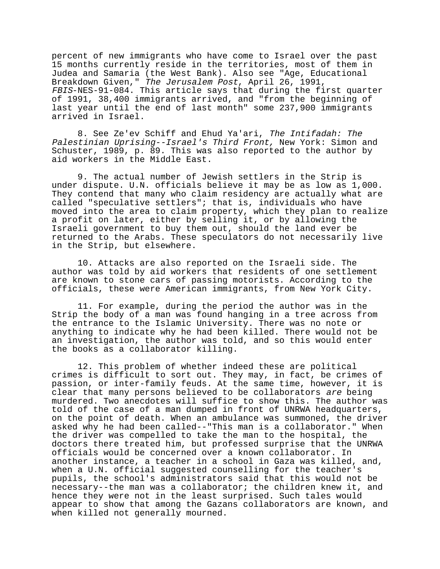percent of new immigrants who have come to Israel over the past 15 months currently reside in the territories, most of them in Judea and Samaria (the West Bank). Also see "Age, Educational Breakdown Given," The Jerusalem Post, April 26, 1991, FBIS-NES-91-084. This article says that during the first quarter of 1991, 38,400 immigrants arrived, and "from the beginning of last year until the end of last month" some 237,900 immigrants arrived in Israel.

8. See Ze'ev Schiff and Ehud Ya'ari, The Intifadah: The Palestinian Uprising--Israel's Third Front, New York: Simon and Schuster, 1989, p. 89. This was also reported to the author by aid workers in the Middle East.

9. The actual number of Jewish settlers in the Strip is under dispute. U.N. officials believe it may be as low as 1,000. They contend that many who claim residency are actually what are called "speculative settlers"; that is, individuals who have moved into the area to claim property, which they plan to realize a profit on later, either by selling it, or by allowing the Israeli government to buy them out, should the land ever be returned to the Arabs. These speculators do not necessarily live in the Strip, but elsewhere.

10. Attacks are also reported on the Israeli side. The author was told by aid workers that residents of one settlement are known to stone cars of passing motorists. According to the officials, these were American immigrants, from New York City.

11. For example, during the period the author was in the Strip the body of a man was found hanging in a tree across from the entrance to the Islamic University. There was no note or anything to indicate why he had been killed. There would not be an investigation, the author was told, and so this would enter the books as a collaborator killing.

12. This problem of whether indeed these are political crimes is difficult to sort out. They may, in fact, be crimes of passion, or inter-family feuds. At the same time, however, it is clear that many persons believed to be collaborators are being murdered. Two anecdotes will suffice to show this. The author was told of the case of a man dumped in front of UNRWA headquarters, on the point of death. When an ambulance was summoned, the driver asked why he had been called--"This man is a collaborator." When the driver was compelled to take the man to the hospital, the doctors there treated him, but professed surprise that the UNRWA officials would be concerned over a known collaborator. In another instance, a teacher in a school in Gaza was killed, and, when a U.N. official suggested counselling for the teacher's pupils, the school's administrators said that this would not be necessary--the man was a collaborator; the children knew it, and hence they were not in the least surprised. Such tales would appear to show that among the Gazans collaborators are known, and when killed not generally mourned.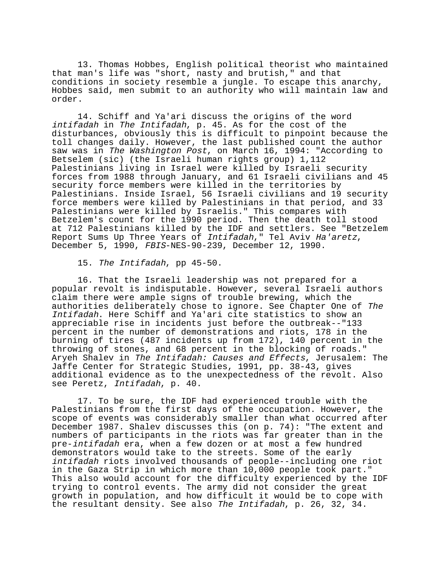13. Thomas Hobbes, English political theorist who maintained that man's life was "short, nasty and brutish," and that conditions in society resemble a jungle. To escape this anarchy, Hobbes said, men submit to an authority who will maintain law and order.

14. Schiff and Ya'ari discuss the origins of the word intifadah in The Intifadah, p. 45. As for the cost of the disturbances, obviously this is difficult to pinpoint because the toll changes daily. However, the last published count the author saw was in The Washington Post, on March 16, 1994: "According to Betselem (sic) (the Israeli human rights group) 1,112 Palestinians living in Israel were killed by Israeli security forces from 1988 through January, and 61 Israeli civilians and 45 security force members were killed in the territories by Palestinians. Inside Israel, 56 Israeli civilians and 19 security force members were killed by Palestinians in that period, and 33 Palestinians were killed by Israelis." This compares with Betzelem's count for the 1990 period. Then the death toll stood at 712 Palestinians killed by the IDF and settlers. See "Betzelem Report Sums Up Three Years of Intifadah," Tel Aviv Ha'aretz, December 5, 1990, FBIS-NES-90-239, December 12, 1990.

15. The Intifadah, pp 45-50.

16. That the Israeli leadership was not prepared for a popular revolt is indisputable. However, several Israeli authors claim there were ample signs of trouble brewing, which the authorities deliberately chose to ignore. See Chapter One of The Intifadah. Here Schiff and Ya'ari cite statistics to show an appreciable rise in incidents just before the outbreak--"133 percent in the number of demonstrations and riots, 178 in the burning of tires (487 incidents up from 172), 140 percent in the throwing of stones, and 68 percent in the blocking of roads." Aryeh Shalev in The Intifadah: Causes and Effects, Jerusalem: The Jaffe Center for Strategic Studies, 1991, pp. 38-43, gives additional evidence as to the unexpectedness of the revolt. Also see Peretz, Intifadah, p. 40.

17. To be sure, the IDF had experienced trouble with the Palestinians from the first days of the occupation. However, the scope of events was considerably smaller than what occurred after December 1987. Shalev discusses this (on p. 74): "The extent and numbers of participants in the riots was far greater than in the pre-intifadah era, when a few dozen or at most a few hundred demonstrators would take to the streets. Some of the early intifadah riots involved thousands of people--including one riot in the Gaza Strip in which more than 10,000 people took part." This also would account for the difficulty experienced by the IDF trying to control events. The army did not consider the great growth in population, and how difficult it would be to cope with the resultant density. See also The Intifadah, p. 26, 32, 34.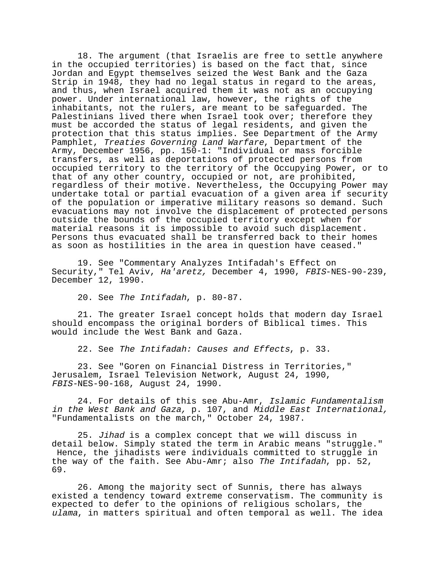18. The argument (that Israelis are free to settle anywhere in the occupied territories) is based on the fact that, since Jordan and Egypt themselves seized the West Bank and the Gaza Strip in 1948, they had no legal status in regard to the areas, and thus, when Israel acquired them it was not as an occupying power. Under international law, however, the rights of the inhabitants, not the rulers, are meant to be safeguarded. The Palestinians lived there when Israel took over; therefore they must be accorded the status of legal residents, and given the protection that this status implies. See Department of the Army Pamphlet, Treaties Governing Land Warfare, Department of the Army, December 1956, pp. 150-1: "Individual or mass forcible transfers, as well as deportations of protected persons from occupied territory to the territory of the Occupying Power, or to that of any other country, occupied or not, are prohibited, regardless of their motive. Nevertheless, the Occupying Power may undertake total or partial evacuation of a given area if security of the population or imperative military reasons so demand. Such evacuations may not involve the displacement of protected persons outside the bounds of the occupied territory except when for material reasons it is impossible to avoid such displacement. Persons thus evacuated shall be transferred back to their homes as soon as hostilities in the area in question have ceased."

19. See "Commentary Analyzes Intifadah's Effect on Security," Tel Aviv, Ha'aretz, December 4, 1990, FBIS-NES-90-239, December 12, 1990.

20. See The Intifadah, p. 80-87.

21. The greater Israel concept holds that modern day Israel should encompass the original borders of Biblical times. This would include the West Bank and Gaza.

22. See The Intifadah: Causes and Effects, p. 33.

23. See "Goren on Financial Distress in Territories," Jerusalem, Israel Television Network, August 24, 1990, FBIS-NES-90-168, August 24, 1990.

24. For details of this see Abu-Amr, Islamic Fundamentalism in the West Bank and Gaza, p. 107, and Middle East International, "Fundamentalists on the march," October 24, 1987.

25. Jihad is a complex concept that we will discuss in detail below. Simply stated the term in Arabic means "struggle." Hence, the jihadists were individuals committed to struggle in the way of the faith. See Abu-Amr; also The Intifadah, pp. 52, 69.

26. Among the majority sect of Sunnis, there has always existed a tendency toward extreme conservatism. The community is expected to defer to the opinions of religious scholars, the ulama, in matters spiritual and often temporal as well. The idea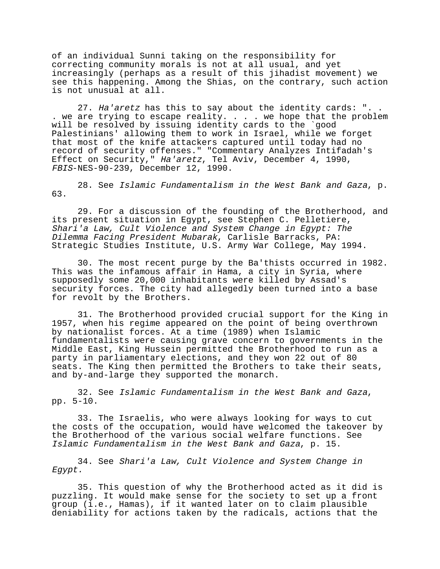of an individual Sunni taking on the responsibility for correcting community morals is not at all usual, and yet increasingly (perhaps as a result of this jihadist movement) we see this happening. Among the Shias, on the contrary, such action is not unusual at all.

27. Ha'aretz has this to say about the identity cards: ". . . we are trying to escape reality. . . . we hope that the problem will be resolved by issuing identity cards to the `good Palestinians' allowing them to work in Israel, while we forget that most of the knife attackers captured until today had no record of security offenses." "Commentary Analyzes Intifadah's Effect on Security," Ha'aretz, Tel Aviv, December 4, 1990, FBIS-NES-90-239, December 12, 1990.

28. See Islamic Fundamentalism in the West Bank and Gaza, p. 63.

29. For a discussion of the founding of the Brotherhood, and its present situation in Egypt, see Stephen C. Pelletiere, Shari'a Law, Cult Violence and System Change in Egypt: The Dilemma Facing President Mubarak, Carlisle Barracks, PA: Strategic Studies Institute, U.S. Army War College, May 1994.

30. The most recent purge by the Ba'thists occurred in 1982. This was the infamous affair in Hama, a city in Syria, where supposedly some 20,000 inhabitants were killed by Assad's security forces. The city had allegedly been turned into a base for revolt by the Brothers.

31. The Brotherhood provided crucial support for the King in 1957, when his regime appeared on the point of being overthrown by nationalist forces. At a time (1989) when Islamic fundamentalists were causing grave concern to governments in the Middle East, King Hussein permitted the Brotherhood to run as a party in parliamentary elections, and they won 22 out of 80 seats. The King then permitted the Brothers to take their seats, and by-and-large they supported the monarch.

32. See Islamic Fundamentalism in the West Bank and Gaza, pp. 5-10.

33. The Israelis, who were always looking for ways to cut the costs of the occupation, would have welcomed the takeover by the Brotherhood of the various social welfare functions. See Islamic Fundamentalism in the West Bank and Gaza, p. 15.

34. See Shari'a Law, Cult Violence and System Change in Egypt.

35. This question of why the Brotherhood acted as it did is puzzling. It would make sense for the society to set up a front group (i.e., Hamas), if it wanted later on to claim plausible deniability for actions taken by the radicals, actions that the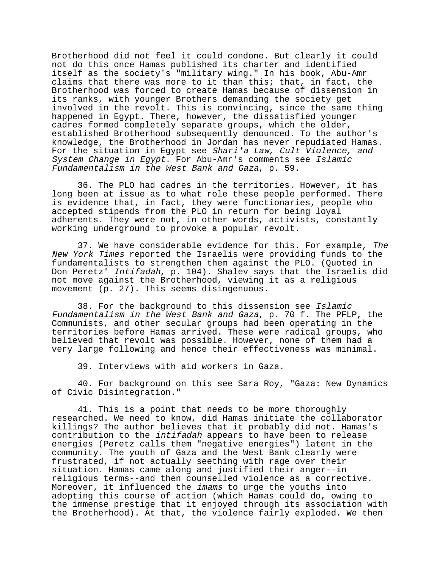Brotherhood did not feel it could condone. But clearly it could not do this once Hamas published its charter and identified itself as the society's "military wing." In his book, Abu-Amr claims that there was more to it than this; that, in fact, the Brotherhood was forced to create Hamas because of dissension in its ranks, with younger Brothers demanding the society get involved in the revolt. This is convincing, since the same thing happened in Egypt. There, however, the dissatisfied younger cadres formed completely separate groups, which the older, established Brotherhood subsequently denounced. To the author's knowledge, the Brotherhood in Jordan has never repudiated Hamas. For the situation in Egypt see Shari'a Law, Cult Violence, and System Change in Egypt. For Abu-Amr's comments see Islamic Fundamentalism in the West Bank and Gaza, p. 59.

36. The PLO had cadres in the territories. However, it has long been at issue as to what role these people performed. There is evidence that, in fact, they were functionaries, people who accepted stipends from the PLO in return for being loyal adherents. They were not, in other words, activists, constantly working underground to provoke a popular revolt.

37. We have considerable evidence for this. For example, The New York Times reported the Israelis were providing funds to the fundamentalists to strengthen them against the PLO. (Quoted in Don Peretz' Intifadah, p. 104). Shalev says that the Israelis did not move against the Brotherhood, viewing it as a religious movement (p. 27). This seems disingenuous.

38. For the background to this dissension see Islamic Fundamentalism in the West Bank and Gaza, p. 70 f. The PFLP, the Communists, and other secular groups had been operating in the territories before Hamas arrived. These were radical groups, who believed that revolt was possible. However, none of them had a very large following and hence their effectiveness was minimal.

39. Interviews with aid workers in Gaza.

40. For background on this see Sara Roy, "Gaza: New Dynamics of Civic Disintegration."

41. This is a point that needs to be more thoroughly researched. We need to know, did Hamas initiate the collaborator killings? The author believes that it probably did not. Hamas's contribution to the intifadah appears to have been to release energies (Peretz calls them "negative energies") latent in the community. The youth of Gaza and the West Bank clearly were frustrated, if not actually seething with rage over their situation. Hamas came along and justified their anger--in religious terms--and then counselled violence as a corrective. Moreover, it influenced the imams to urge the youths into adopting this course of action (which Hamas could do, owing to the immense prestige that it enjoyed through its association with the Brotherhood). At that, the violence fairly exploded. We then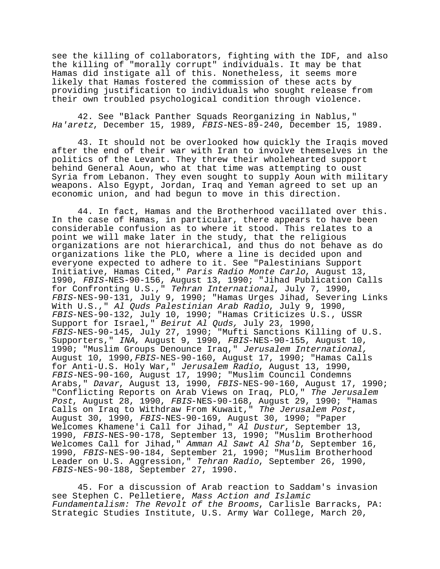see the killing of collaborators, fighting with the IDF, and also the killing of "morally corrupt" individuals. It may be that Hamas did instigate all of this. Nonetheless, it seems more likely that Hamas fostered the commission of these acts by providing justification to individuals who sought release from their own troubled psychological condition through violence.

42. See "Black Panther Squads Reorganizing in Nablus," Ha'aretz, December 15, 1989, FBIS-NES-89-240, December 15, 1989.

43. It should not be overlooked how quickly the Iraqis moved after the end of their war with Iran to involve themselves in the politics of the Levant. They threw their wholehearted support behind General Aoun, who at that time was attempting to oust Syria from Lebanon. They even sought to supply Aoun with military weapons. Also Egypt, Jordan, Iraq and Yeman agreed to set up an economic union, and had begun to move in this direction.

44. In fact, Hamas and the Brotherhood vacillated over this. In the case of Hamas, in particular, there appears to have been considerable confusion as to where it stood. This relates to a point we will make later in the study, that the religious organizations are not hierarchical, and thus do not behave as do organizations like the PLO, where a line is decided upon and everyone expected to adhere to it. See "Palestinians Support Initiative, Hamas Cited," Paris Radio Monte Carlo, August 13, 1990, FBIS-NES-90-156, August 13, 1990; "Jihad Publication Calls for Confronting U.S.," Tehran International, July 7, 1990, FBIS-NES-90-131, July 9, 1990; "Hamas Urges Jihad, Severing Links With U.S.," Al Quds Palestinian Arab Radio, July 9, 1990, FBIS-NES-90-132, July 10, 1990; "Hamas Criticizes U.S., USSR Support for Israel," Beirut Al Quds, July 23, 1990, FBIS-NES-90-145, July 27, 1990; "Mufti Sanctions Killing of U.S. Supporters," INA, August 9, 1990, FBIS-NES-90-155, August 10, 1990; "Muslim Groups Denounce Iraq," Jerusalem International, August 10, 1990,FBIS-NES-90-160, August 17, 1990; "Hamas Calls for Anti-U.S. Holy War," Jerusalem Radio, August 13, 1990, FBIS-NES-90-160, August 17, 1990; "Muslim Council Condemns Arabs," Davar, August 13, 1990, FBIS-NES-90-160, August 17, 1990; "Conflicting Reports on Arab Views on Iraq, PLO," The Jerusalem Post, August 28, 1990, FBIS-NES-90-168, August 29, 1990; "Hamas Calls on Iraq to Withdraw From Kuwait," The Jerusalem Post,<br>August 30, 1990, FBIS-NES-90-169, August 30, 1990; "Paper Welcomes Khamene'i Call for Jihad," Al Dustur, September 13, 1990, FBIS-NES-90-178, September 13, 1990; "Muslim Brotherhood Welcomes Call for Jihad," Amman Al Sawt Al Sha'b, September 16, 1990, FBIS-NES-90-184, September 21, 1990; "Muslim Brotherhood Leader on U.S. Aggression," Tehran Radio, September 26, 1990, FBIS-NES-90-188, September 27, 1990.

45. For a discussion of Arab reaction to Saddam's invasion see Stephen C. Pelletiere, Mass Action and Islamic Fundamentalism: The Revolt of the Brooms, Carlisle Barracks, PA: Strategic Studies Institute, U.S. Army War College, March 20,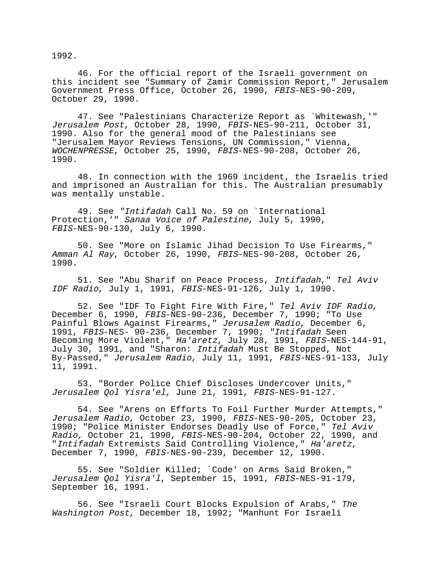1992.

46. For the official report of the Israeli government on this incident see "Summary of Zamir Commission Report," Jerusalem Government Press Office, October 26, 1990, FBIS-NES-90-209, October 29, 1990.

47. See "Palestinians Characterize Report as `Whitewash,'" Jerusalem Post, October 28, 1990, FBIS-NES-90-211, October 31, 1990. Also for the general mood of the Palestinians see "Jerusalem Mayor Reviews Tensions, UN Commission," Vienna, WOCHENPRESSE, October 25, 1990, FBIS-NES-90-208, October 26, 1990.

48. In connection with the 1969 incident, the Israelis tried and imprisoned an Australian for this. The Australian presumably was mentally unstable.

49. See "Intifadah Call No. 59 on `International Protection,'" Sanaa Voice of Palestine, July 5, 1990, FBIS-NES-90-130, July 6, 1990.

50. See "More on Islamic Jihad Decision To Use Firearms," Amman Al Ray, October 26, 1990, FBIS-NES-90-208, October 26, 1990.

51. See "Abu Sharif on Peace Process, Intifadah," Tel Aviv IDF Radio, July 1, 1991, FBIS-NES-91-126, July 1, 1990.

52. See "IDF To Fight Fire With Fire," Tel Aviv IDF Radio, December 6, 1990, FBIS-NES-90-236, December 7, 1990; "To Use Painful Blows Against Firearms," Jerusalem Radio, December 6, 1991, FBIS-NES- 90-236, December 7, 1990; "Intifadah Seen Becoming More Violent," Ha'aretz, July 28, 1991, FBIS-NES-144-91, July 30, 1991, and "Sharon: Intifadah Must Be Stopped, Not By-Passed," Jerusalem Radio, July 11, 1991, FBIS-NES-91-133, July 11, 1991.

53. "Border Police Chief Discloses Undercover Units," Jerusalem Qol Yisra'el, June 21, 1991, FBIS-NES-91-127.

54. See "Arens on Efforts To Foil Further Murder Attempts," Jerusalem Radio, October 23, 1990, FBIS-NES-90-205, October 23, 1990; "Police Minister Endorses Deadly Use of Force," Tel Aviv Radio, October 21, 1990, FBIS-NES-90-204, October 22, 1990, and<br>"Intifadah Extremists Said Controlling Violence," Ha'aretz,<br>December 7, 1990, FBIS-NES-90-239, December 12, 1990.

55. See "Soldier Killed; `Code' on Arms Said Broken," Jerusalem Qol Yisra'l, September 15, 1991, FBIS-NES-91-179, September 16, 1991.

56. See "Israeli Court Blocks Expulsion of Arabs," The Washington Post, December 18, 1992; "Manhunt For Israeli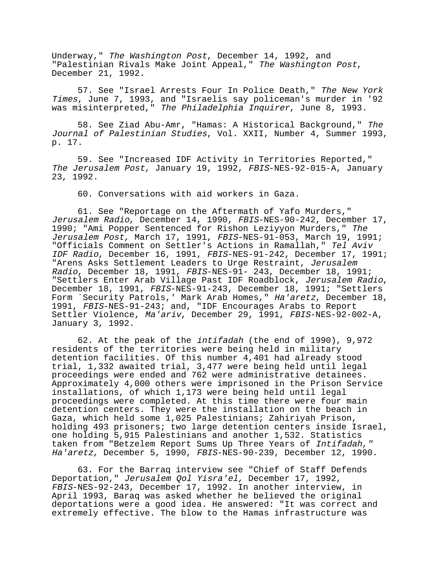Underway," The Washington Post, December 14, 1992, and "Palestinian Rivals Make Joint Appeal," The Washington Post, December 21, 1992.

57. See "Israel Arrests Four In Police Death," The New York Times, June 7, 1993, and "Israelis say policeman's murder in '92 was misinterpreted," The Philadelphia Inquirer, June 8, 1993.

58. See Ziad Abu-Amr, "Hamas: A Historical Background," The Journal of Palestinian Studies, Vol. XXII, Number 4, Summer 1993, p. 17.

59. See "Increased IDF Activity in Territories Reported," The Jerusalem Post, January 19, 1992, FBIS-NES-92-015-A, January 23, 1992.

60. Conversations with aid workers in Gaza.

61. See "Reportage on the Aftermath of Yafo Murders," Jerusalem Radio, December 14, 1990, FBIS-NES-90-242, December 17, 1990; "Ami Popper Sentenced for Rishon Leziyyon Murders," The Jerusalem Post, March 17, 1991, FBIS-NES-91-053, March 19, 1991; "Officials Comment on Settler's Actions in Ramallah," Tel Aviv IDF Radio, December 16, 1991, FBIS-NES-91-242, December 17, 1991; "Arens Asks Settlement Leaders to Urge Restraint, Jerusalem Radio, December 18, 1991, FBIS-NES-91- 243, December 18, 1991; "Settlers Enter Arab Village Past IDF Roadblock, Jerusalem Radio, December 18, 1991, FBIS-NES-91-243, December 18, 1991; "Settlers Form `Security Patrols,' Mark Arab Homes," Ha'aretz, December 18, 1991, FBIS-NES-91-243; and, "IDF Encourages Arabs to Report Settler Violence, Ma'ariv, December 29, 1991, FBIS-NES-92-002-A, January 3, 1992.

62. At the peak of the intifadah (the end of 1990), 9,972 residents of the territories were being held in military detention facilities. Of this number 4,401 had already stood trial, 1,332 awaited trial, 3,477 were being held until legal proceedings were ended and 762 were administrative detainees. Approximately 4,000 others were imprisoned in the Prison Service installations, of which 1,173 were being held until legal proceedings were completed. At this time there were four main detention centers. They were the installation on the beach in Gaza, which held some 1,025 Palestinians; Zahiriyah Prison, holding 493 prisoners; two large detention centers inside Israel, one holding 5,915 Palestinians and another 1,532. Statistics taken from "Betzelem Report Sums Up Three Years of Intifadah," Ha'aretz, December 5, 1990, FBIS-NES-90-239, December 12, 1990.

63. For the Barraq interview see "Chief of Staff Defends Deportation," Jerusalem Qol Yisra'el, December 17, 1992, FBIS-NES-92-243, December 17, 1992. In another interview, in April 1993, Baraq was asked whether he believed the original deportations were a good idea. He answered: "It was correct and extremely effective. The blow to the Hamas infrastructure was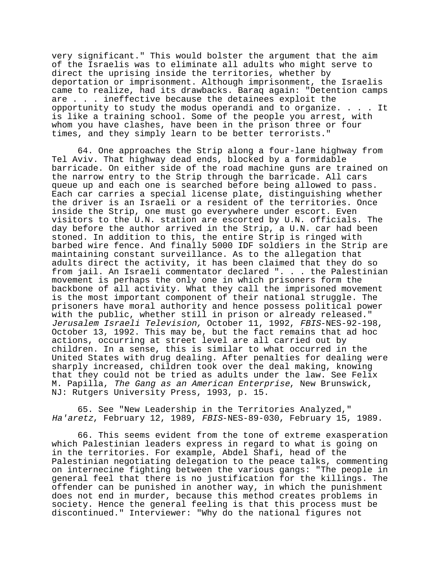very significant." This would bolster the argument that the aim of the Israelis was to eliminate all adults who might serve to direct the uprising inside the territories, whether by deportation or imprisonment. Although imprisonment, the Israelis came to realize, had its drawbacks. Baraq again: "Detention camps are . . . ineffective because the detainees exploit the opportunity to study the modus operandi and to organize. . . . It is like a training school. Some of the people you arrest, with whom you have clashes, have been in the prison three or four times, and they simply learn to be better terrorists."

64. One approaches the Strip along a four-lane highway from Tel Aviv. That highway dead ends, blocked by a formidable barricade. On either side of the road machine guns are trained on the narrow entry to the Strip through the barricade. All cars queue up and each one is searched before being allowed to pass. Each car carries a special license plate, distinguishing whether the driver is an Israeli or a resident of the territories. Once inside the Strip, one must go everywhere under escort. Even visitors to the U.N. station are escorted by U.N. officials. The day before the author arrived in the Strip, a U.N. car had been stoned. In addition to this, the entire Strip is ringed with barbed wire fence. And finally 5000 IDF soldiers in the Strip are maintaining constant surveillance. As to the allegation that adults direct the activity, it has been claimed that they do so from jail. An Israeli commentator declared ". . . the Palestinian movement is perhaps the only one in which prisoners form the backbone of all activity. What they call the imprisoned movement is the most important component of their national struggle. The prisoners have moral authority and hence possess political power with the public, whether still in prison or already released." Jerusalem Israeli Television, October 11, 1992, FBIS-NES-92-198, October 13, 1992. This may be, but the fact remains that ad hoc actions, occurring at street level are all carried out by children. In a sense, this is similar to what occurred in the United States with drug dealing. After penalties for dealing were sharply increased, children took over the deal making, knowing that they could not be tried as adults under the law. See Felix M. Papilla, The Gang as an American Enterprise, New Brunswick, NJ: Rutgers University Press, 1993, p. 15.

65. See "New Leadership in the Territories Analyzed," Ha'aretz, February 12, 1989, FBIS-NES-89-030, February 15, 1989.

66. This seems evident from the tone of extreme exasperation which Palestinian leaders express in regard to what is going on in the territories. For example, Abdel Shafi, head of the Palestinian negotiating delegation to the peace talks, commenting on internecine fighting between the various gangs: "The people in general feel that there is no justification for the killings. The offender can be punished in another way, in which the punishment does not end in murder, because this method creates problems in society. Hence the general feeling is that this process must be discontinued." Interviewer: "Why do the national figures not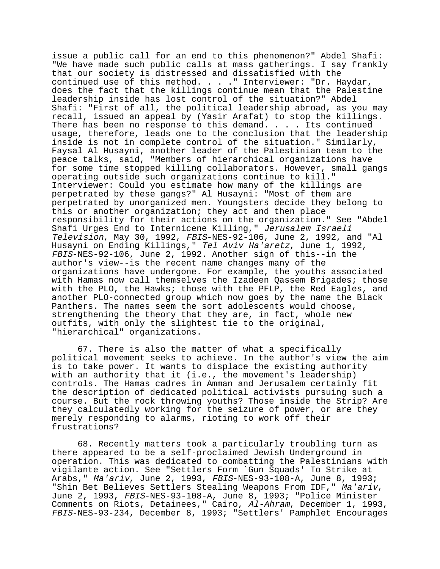issue a public call for an end to this phenomenon?" Abdel Shafi: "We have made such public calls at mass gatherings. I say frankly that our society is distressed and dissatisfied with the continued use of this method. . . ." Interviewer: "Dr. Haydar, does the fact that the killings continue mean that the Palestine leadership inside has lost control of the situation?" Abdel Shafi: "First of all, the political leadership abroad, as you may recall, issued an appeal by (Yasir Arafat) to stop the killings. There has been no response to this demand. . . . Its continued usage, therefore, leads one to the conclusion that the leadership inside is not in complete control of the situation." Similarly, Faysal Al Husayni, another leader of the Palestinian team to the peace talks, said, "Members of hierarchical organizations have for some time stopped killing collaborators. However, small gangs operating outside such organizations continue to kill." Interviewer: Could you estimate how many of the killings are perpetrated by these gangs?" Al Husayni: "Most of them are perpetrated by unorganized men. Youngsters decide they belong to this or another organization; they act and then place responsibility for their actions on the organization." See "Abdel Shafi Urges End to Internicene Killing," Jerusalem Israeli Television, May 30, 1992, FBIS-NES-92-106, June 2, 1992, and "Al Husayni on Ending Killings," Tel Aviv Ha'aretz, June 1, 1992, FBIS-NES-92-106, June 2, 1992. Another sign of this--in the author's view--is the recent name changes many of the organizations have undergone. For example, the youths associated with Hamas now call themselves the Izadeen Qassem Brigades; those with the PLO, the Hawks; those with the PFLP, the Red Eagles, and another PLO-connected group which now goes by the name the Black Panthers. The names seem the sort adolescents would choose, strengthening the theory that they are, in fact, whole new outfits, with only the slightest tie to the original, "hierarchical" organizations.

67. There is also the matter of what a specifically political movement seeks to achieve. In the author's view the aim is to take power. It wants to displace the existing authority with an authority that it (i.e., the movement's leadership) controls. The Hamas cadres in Amman and Jerusalem certainly fit the description of dedicated political activists pursuing such a course. But the rock throwing youths? Those inside the Strip? Are they calculatedly working for the seizure of power, or are they merely responding to alarms, rioting to work off their frustrations?

68. Recently matters took a particularly troubling turn as there appeared to be a self-proclaimed Jewish Underground in operation. This was dedicated to combatting the Palestinians with vigilante action. See "Settlers Form `Gun Squads' To Strike at Arabs," *Ma'ariv*, June 2, 1993, FBIS-NES-93-108-A, June 8, 1993; "Shin Bet Believes Settlers Stealing Weapons From IDF," Ma'ariv, June 2, 1993, FBIS-NES-93-108-A, June 8, 1993; "Police Minister Comments on Riots, Detainees," Cairo, Al-Ahram, December 1, 1993, FBIS-NES-93-234, December 8, 1993; "Settlers' Pamphlet Encourages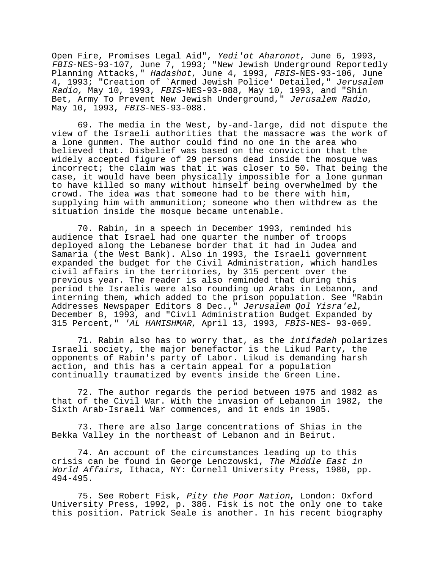Open Fire, Promises Legal Aid", Yedi'ot Aharonot, June 6, 1993, FBIS-NES-93-107, June 7, 1993; "New Jewish Underground Reportedly Planning Attacks," Hadashot, June 4, 1993, FBIS-NES-93-106, June 4, 1993; "Creation of `Armed Jewish Police' Detailed," Jerusalem Radio, May 10, 1993, FBIS-NES-93-088, May 10, 1993, and "Shin Bet, Army To Prevent New Jewish Underground," Jerusalem Radio, May 10, 1993, FBIS-NES-93-088.

69. The media in the West, by-and-large, did not dispute the view of the Israeli authorities that the massacre was the work of a lone gunmen. The author could find no one in the area who believed that. Disbelief was based on the conviction that the widely accepted figure of 29 persons dead inside the mosque was incorrect; the claim was that it was closer to 50. That being the case, it would have been physically impossible for a lone gunman to have killed so many without himself being overwhelmed by the crowd. The idea was that someone had to be there with him, supplying him with ammunition; someone who then withdrew as the situation inside the mosque became untenable.

70. Rabin, in a speech in December 1993, reminded his audience that Israel had one quarter the number of troops deployed along the Lebanese border that it had in Judea and Samaria (the West Bank). Also in 1993, the Israeli government expanded the budget for the Civil Administration, which handles civil affairs in the territories, by 315 percent over the previous year. The reader is also reminded that during this period the Israelis were also rounding up Arabs in Lebanon, and interning them, which added to the prison population. See "Rabin Addresses Newspaper Editors 8 Dec.," Jerusalem Qol Yisra'el, December 8, 1993, and "Civil Administration Budget Expanded by 315 Percent," 'AL HAMISHMAR, April 13, 1993, FBIS-NES- 93-069.

71. Rabin also has to worry that, as the intifadah polarizes Israeli society, the major benefactor is the Likud Party, the opponents of Rabin's party of Labor. Likud is demanding harsh action, and this has a certain appeal for a population continually traumatized by events inside the Green Line.

72. The author regards the period between 1975 and 1982 as that of the Civil War. With the invasion of Lebanon in 1982, the Sixth Arab-Israeli War commences, and it ends in 1985.

73. There are also large concentrations of Shias in the Bekka Valley in the northeast of Lebanon and in Beirut.

74. An account of the circumstances leading up to this crisis can be found in George Lenczowski, The Middle East in World Affairs, Ithaca, NY: Cornell University Press, 1980, pp. 494-495.

75. See Robert Fisk, Pity the Poor Nation, London: Oxford University Press, 1992, p. 386. Fisk is not the only one to take this position. Patrick Seale is another. In his recent biography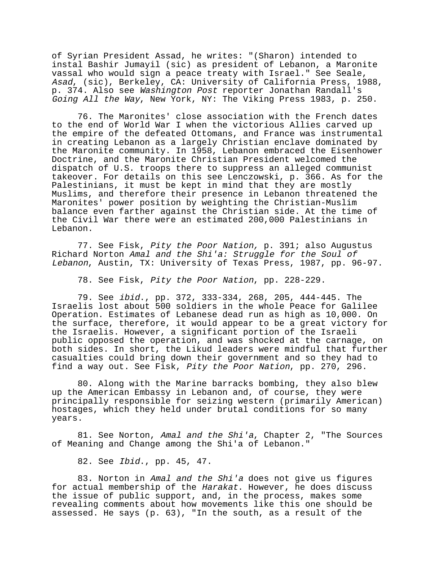of Syrian President Assad, he writes: "(Sharon) intended to instal Bashir Jumayil (sic) as president of Lebanon, a Maronite vassal who would sign a peace treaty with Israel." See Seale, Asad, (sic), Berkeley, CA: University of California Press, 1988, p. 374. Also see Washington Post reporter Jonathan Randall's Going All the Way, New York, NY: The Viking Press 1983, p. 250.

76. The Maronites' close association with the French dates to the end of World War I when the victorious Allies carved up the empire of the defeated Ottomans, and France was instrumental in creating Lebanon as a largely Christian enclave dominated by the Maronite community. In 1958, Lebanon embraced the Eisenhower Doctrine, and the Maronite Christian President welcomed the dispatch of U.S. troops there to suppress an alleged communist takeover. For details on this see Lenczowski, p. 366. As for the Palestinians, it must be kept in mind that they are mostly Muslims, and therefore their presence in Lebanon threatened the Maronites' power position by weighting the Christian-Muslim balance even farther against the Christian side. At the time of the Civil War there were an estimated 200,000 Palestinians in Lebanon.

77. See Fisk, Pity the Poor Nation, p. 391; also Augustus Richard Norton Amal and the Shi'a: Struggle for the Soul of Lebanon, Austin, TX: University of Texas Press, 1987, pp. 96-97.

78. See Fisk, Pity the Poor Nation, pp. 228-229.

79. See ibid., pp. 372, 333-334, 268, 205, 444-445. The Israelis lost about 500 soldiers in the whole Peace for Galilee Operation. Estimates of Lebanese dead run as high as 10,000. On the surface, therefore, it would appear to be a great victory for the Israelis. However, a significant portion of the Israeli public opposed the operation, and was shocked at the carnage, on both sides. In short, the Likud leaders were mindful that further casualties could bring down their government and so they had to find a way out. See Fisk, Pity the Poor Nation, pp. 270, 296.

80. Along with the Marine barracks bombing, they also blew up the American Embassy in Lebanon and, of course, they were principally responsible for seizing western (primarily American) hostages, which they held under brutal conditions for so many years.

81. See Norton, Amal and the Shi'a, Chapter 2, "The Sources of Meaning and Change among the Shi'a of Lebanon."

82. See Ibid., pp. 45, 47.

83. Norton in Amal and the Shi'a does not give us figures for actual membership of the Harakat. However, he does discuss the issue of public support, and, in the process, makes some revealing comments about how movements like this one should be assessed. He says (p. 63), "In the south, as a result of the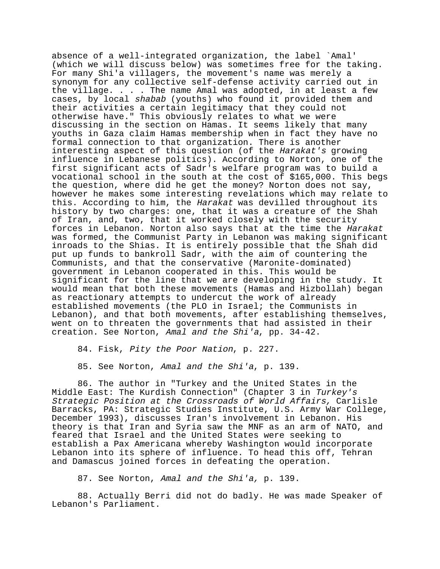absence of a well-integrated organization, the label `Amal' (which we will discuss below) was sometimes free for the taking. For many Shi'a villagers, the movement's name was merely a synonym for any collective self-defense activity carried out in the village. . . . The name Amal was adopted, in at least a few cases, by local shabab (youths) who found it provided them and their activities a certain legitimacy that they could not otherwise have." This obviously relates to what we were discussing in the section on Hamas. It seems likely that many youths in Gaza claim Hamas membership when in fact they have no formal connection to that organization. There is another interesting aspect of this question (of the Harakat's growing influence in Lebanese politics). According to Norton, one of the first significant acts of Sadr's welfare program was to build a vocational school in the south at the cost of \$165,000. This begs the question, where did he get the money? Norton does not say, however he makes some interesting revelations which may relate to this. According to him, the Harakat was devilled throughout its history by two charges: one, that it was a creature of the Shah of Iran, and, two, that it worked closely with the security forces in Lebanon. Norton also says that at the time the Harakat was formed, the Communist Party in Lebanon was making significant inroads to the Shias. It is entirely possible that the Shah did put up funds to bankroll Sadr, with the aim of countering the Communists, and that the conservative (Maronite-dominated) government in Lebanon cooperated in this. This would be significant for the line that we are developing in the study. It would mean that both these movements (Hamas and Hizbollah) began as reactionary attempts to undercut the work of already established movements (the PLO in Israel; the Communists in Lebanon), and that both movements, after establishing themselves, went on to threaten the governments that had assisted in their creation. See Norton, Amal and the Shi'a, pp. 34-42.

84. Fisk, Pity the Poor Nation, p. 227.

85. See Norton, Amal and the Shi'a, p. 139.

86. The author in "Turkey and the United States in the Middle East: The Kurdish Connection" (Chapter 3 in Turkey's Strategic Position at the Crossroads of World Affairs, Carlisle Barracks, PA: Strategic Studies Institute, U.S. Army War College, December 1993), discusses Iran's involvement in Lebanon. His theory is that Iran and Syria saw the MNF as an arm of NATO, and feared that Israel and the United States were seeking to establish a Pax Americana whereby Washington would incorporate Lebanon into its sphere of influence. To head this off, Tehran and Damascus joined forces in defeating the operation.

87. See Norton, Amal and the Shi'a, p. 139.

88. Actually Berri did not do badly. He was made Speaker of Lebanon's Parliament.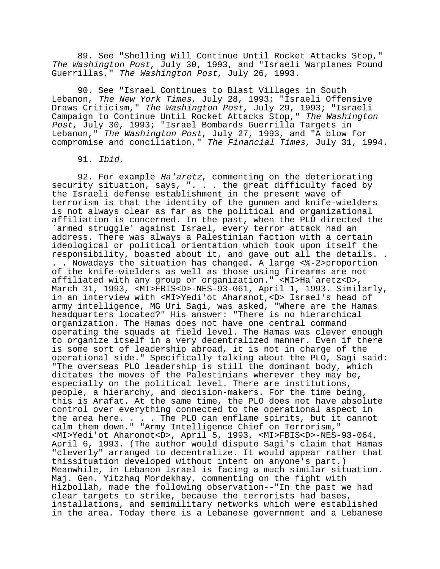89. See "Shelling Will Continue Until Rocket Attacks Stop," The Washington Post, July 30, 1993, and "Israeli Warplanes Pound Guerrillas," The Washington Post, July 26, 1993.

90. See "Israel Continues to Blast Villages in South Lebanon, The New York Times, July 28, 1993; "Israeli Offensive Draws Criticism," The Washington Post, July 29, 1993; "Israeli Campaign to Continue Until Rocket Attacks Stop," The Washington Post, July 30, 1993; "Israel Bombards Guerrilla Targets in Lebanon," The Washington Post, July 27, 1993, and "A blow for compromise and conciliation," The Financial Times, July 31, 1994.

91. Ibid.

92. For example Ha'aretz, commenting on the deteriorating security situation, says, ". . . the great difficulty faced by the Israeli defense establishment in the present wave of terrorism is that the identity of the gunmen and knife-wielders is not always clear as far as the political and organizational affiliation is concerned. In the past, when the PLO directed the `armed struggle' against Israel, every terror attack had an address. There was always a Palestinian faction with a certain ideological or political orientation which took upon itself the responsibility, boasted about it, and gave out all the details. . . . Nowadays the situation has changed. A large <%-2>proportion of the knife-wielders as well as those using firearms are not affiliated with any group or organization." <MI>Ha'aretz<D>, March 31, 1993, <MI>FBIS<D>-NES-93-061, April 1, 1993. Similarly, in an interview with <MI>Yedi'ot Aharanot,<D> Israel's head of army intelligence, MG Uri Sagi, was asked, "Where are the Hamas headquarters located?" His answer: "There is no hierarchical organization. The Hamas does not have one central command operating the squads at field level. The Hamas was clever enough to organize itself in a very decentralized manner. Even if there is some sort of leadership abroad, it is not in charge of the operational side." Specifically talking about the PLO, Sagi said: "The overseas PLO leadership is still the dominant body, which dictates the moves of the Palestinians wherever they may be, especially on the political level. There are institutions, people, a hierarchy, and decision-makers. For the time being, this is Arafat. At the same time, the PLO does not have absolute control over everything connected to the operational aspect in the area here. . . . The PLO can enflame spirits, but it cannot calm them down." "Army Intelligence Chief on Terrorism," <MI>Yedi'ot Aharonot<D>, April 5, 1993, <MI>FBIS<D>-NES-93-064, April 6, 1993. (The author would dispute Sagi's claim that Hamas "cleverly" arranged to decentralize. It would appear rather that thissituation developed without intent on anyone's part.) Meanwhile, in Lebanon Israel is facing a much similar situation. Maj. Gen. Yitzhaq Mordekhay, commenting on the fight with Hizbollah, made the following observation--"In the past we had clear targets to strike, because the terrorists had bases, installations, and semimilitary networks which were established in the area. Today there is a Lebanese government and a Lebanese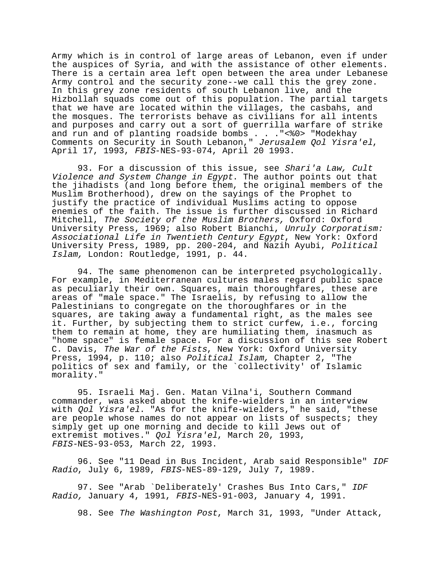Army which is in control of large areas of Lebanon, even if under the auspices of Syria, and with the assistance of other elements. There is a certain area left open between the area under Lebanese Army control and the security zone--we call this the grey zone. In this grey zone residents of south Lebanon live, and the Hizbollah squads come out of this population. The partial targets that we have are located within the villages, the casbahs, and the mosques. The terrorists behave as civilians for all intents and purposes and carry out a sort of guerrilla warfare of strike and run and of planting roadside bombs . . . "<%0> "Modekhay Comments on Security in South Lebanon," Jerusalem Qol Yisra'el, April 17, 1993, FBIS-NES-93-074, April 20 1993.

93. For a discussion of this issue, see Shari'a Law, Cult Violence and System Change in Egypt. The author points out that the jihadists (and long before them, the original members of the Muslim Brotherhood), drew on the sayings of the Prophet to justify the practice of individual Muslims acting to oppose enemies of the faith. The issue is further discussed in Richard Mitchell, The Society of the Muslim Brothers, Oxford: Oxford University Press, 1969; also Robert Bianchi, Unruly Corporatism: Associational Life in Twentieth Century Egypt, New York: Oxford University Press, 1989, pp. 200-204, and Nazih Ayubi, Political Islam, London: Routledge, 1991, p. 44.

94. The same phenomenon can be interpreted psychologically. For example, in Mediterranean cultures males regard public space as peculiarly their own. Squares, main thoroughfares, these are areas of "male space." The Israelis, by refusing to allow the Palestinians to congregate on the thoroughfares or in the squares, are taking away a fundamental right, as the males see it. Further, by subjecting them to strict curfew, i.e., forcing them to remain at home, they are humiliating them, inasmuch as "home space" is female space. For a discussion of this see Robert C. Davis, The War of the Fists, New York: Oxford University Press, 1994, p. 110; also Political Islam, Chapter 2, "The politics of sex and family, or the `collectivity' of Islamic morality."

95. Israeli Maj. Gen. Matan Vilna'i, Southern Command commander, was asked about the knife-wielders in an interview with *Qol Yisra'el*. "As for the knife-wielders," he said, "these are people whose names do not appear on lists of suspects; they simply get up one morning and decide to kill Jews out of extremist motives." Qol Yisra'el, March 20, 1993, FBIS-NES-93-053, March 22, 1993.

96. See "11 Dead in Bus Incident, Arab said Responsible" IDF Radio, July 6, 1989, FBIS-NES-89-129, July 7, 1989.

97. See "Arab `Deliberately' Crashes Bus Into Cars," IDF Radio, January 4, 1991, FBIS-NES-91-003, January 4, 1991.

98. See The Washington Post, March 31, 1993, "Under Attack,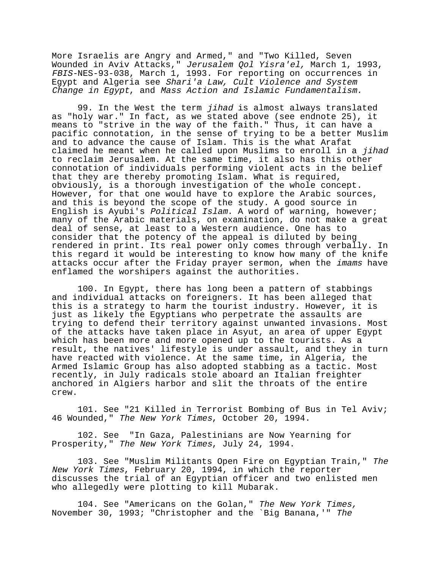More Israelis are Angry and Armed," and "Two Killed, Seven Wounded in Aviv Attacks," Jerusalem Qol Yisra'el, March 1, 1993, FBIS-NES-93-038, March 1, 1993. For reporting on occurrences in Egypt and Algeria see Shari'a Law, Cult Violence and System Change in Egypt, and Mass Action and Islamic Fundamentalism.

99. In the West the term *jihad* is almost always translated as "holy war." In fact, as we stated above (see endnote 25), it means to "strive in the way of the faith." Thus, it can have a pacific connotation, in the sense of trying to be a better Muslim and to advance the cause of Islam. This is the what Arafat claimed he meant when he called upon Muslims to enroll in a jihad to reclaim Jerusalem. At the same time, it also has this other connotation of individuals performing violent acts in the belief that they are thereby promoting Islam. What is required, obviously, is a thorough investigation of the whole concept. However, for that one would have to explore the Arabic sources, and this is beyond the scope of the study. A good source in English is Ayubi's Political Islam. A word of warning, however; many of the Arabic materials, on examination, do not make a great deal of sense, at least to a Western audience. One has to consider that the potency of the appeal is diluted by being rendered in print. Its real power only comes through verbally. In this regard it would be interesting to know how many of the knife attacks occur after the Friday prayer sermon, when the imams have enflamed the worshipers against the authorities.

100. In Egypt, there has long been a pattern of stabbings and individual attacks on foreigners. It has been alleged that this is a strategy to harm the tourist industry. However, it is just as likely the Egyptians who perpetrate the assaults are trying to defend their territory against unwanted invasions. Most of the attacks have taken place in Asyut, an area of upper Egypt which has been more and more opened up to the tourists. As a result, the natives' lifestyle is under assault, and they in turn have reacted with violence. At the same time, in Algeria, the Armed Islamic Group has also adopted stabbing as a tactic. Most recently, in July radicals stole aboard an Italian freighter anchored in Algiers harbor and slit the throats of the entire crew.

101. See "21 Killed in Terrorist Bombing of Bus in Tel Aviv; 46 Wounded," The New York Times, October 20, 1994.

102. See "In Gaza, Palestinians are Now Yearning for Prosperity," The New York Times, July 24, 1994.

103. See "Muslim Militants Open Fire on Egyptian Train," The New York Times, February 20, 1994, in which the reporter discusses the trial of an Egyptian officer and two enlisted men who allegedly were plotting to kill Mubarak.

104. See "Americans on the Golan," The New York Times, November 30, 1993; "Christopher and the `Big Banana,'" The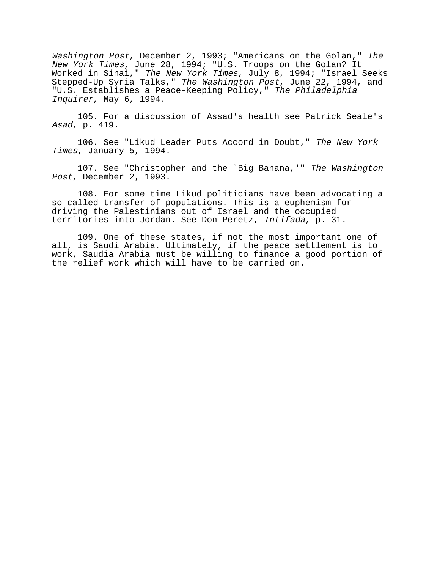Washington Post, December 2, 1993; "Americans on the Golan," The New York Times, June 28, 1994; "U.S. Troops on the Golan? It Worked in Sinai," The New York Times, July 8, 1994; "Israel Seeks Stepped-Up Syria Talks," The Washington Post, June 22, 1994, and "U.S. Establishes a Peace-Keeping Policy," The Philadelphia Inquirer, May 6, 1994.

105. For a discussion of Assad's health see Patrick Seale's Asad, p. 419.

106. See "Likud Leader Puts Accord in Doubt," The New York Times, January 5, 1994.

107. See "Christopher and the `Big Banana,'" The Washington Post, December 2, 1993.

108. For some time Likud politicians have been advocating a so-called transfer of populations. This is a euphemism for driving the Palestinians out of Israel and the occupied territories into Jordan. See Don Peretz, Intifada, p. 31.

109. One of these states, if not the most important one of all, is Saudi Arabia. Ultimately, if the peace settlement is to work, Saudia Arabia must be willing to finance a good portion of the relief work which will have to be carried on.